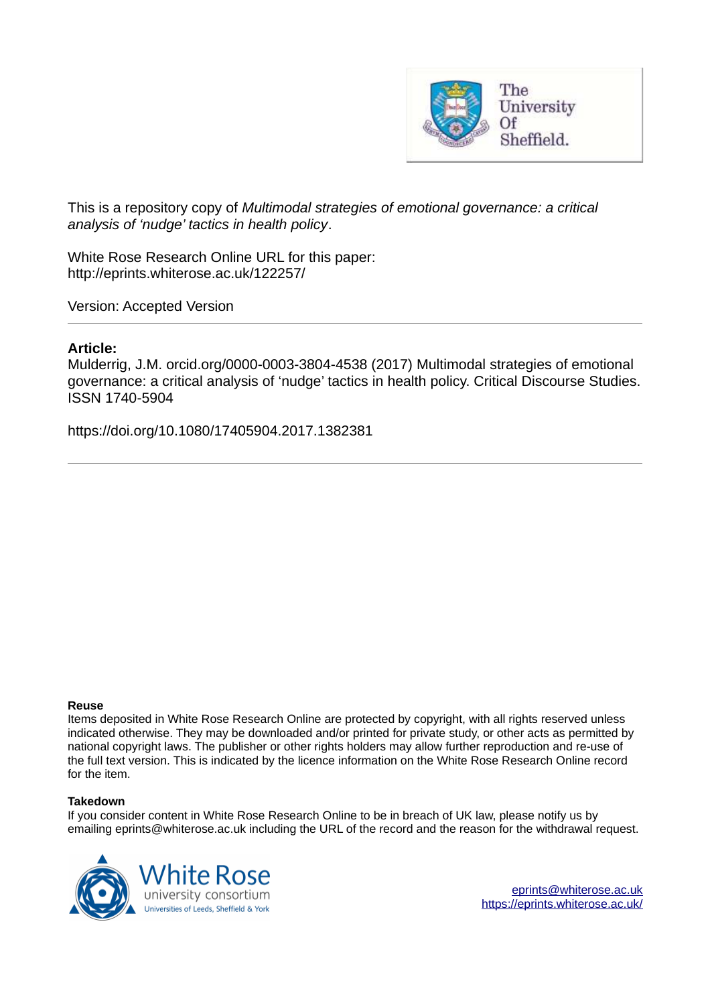

This is a repository copy of *Multimodal strategies of emotional governance: a critical analysis of 'nudge' tactics in health policy*.

White Rose Research Online URL for this paper: http://eprints.whiterose.ac.uk/122257/

Version: Accepted Version

# **Article:**

Mulderrig, J.M. orcid.org/0000-0003-3804-4538 (2017) Multimodal strategies of emotional governance: a critical analysis of 'nudge' tactics in health policy. Critical Discourse Studies. ISSN 1740-5904

https://doi.org/10.1080/17405904.2017.1382381

#### **Reuse**

Items deposited in White Rose Research Online are protected by copyright, with all rights reserved unless indicated otherwise. They may be downloaded and/or printed for private study, or other acts as permitted by national copyright laws. The publisher or other rights holders may allow further reproduction and re-use of the full text version. This is indicated by the licence information on the White Rose Research Online record for the item.

#### **Takedown**

If you consider content in White Rose Research Online to be in breach of UK law, please notify us by emailing eprints@whiterose.ac.uk including the URL of the record and the reason for the withdrawal request.



[eprints@whiterose.ac.uk](mailto:eprints@whiterose.ac.uk) <https://eprints.whiterose.ac.uk/>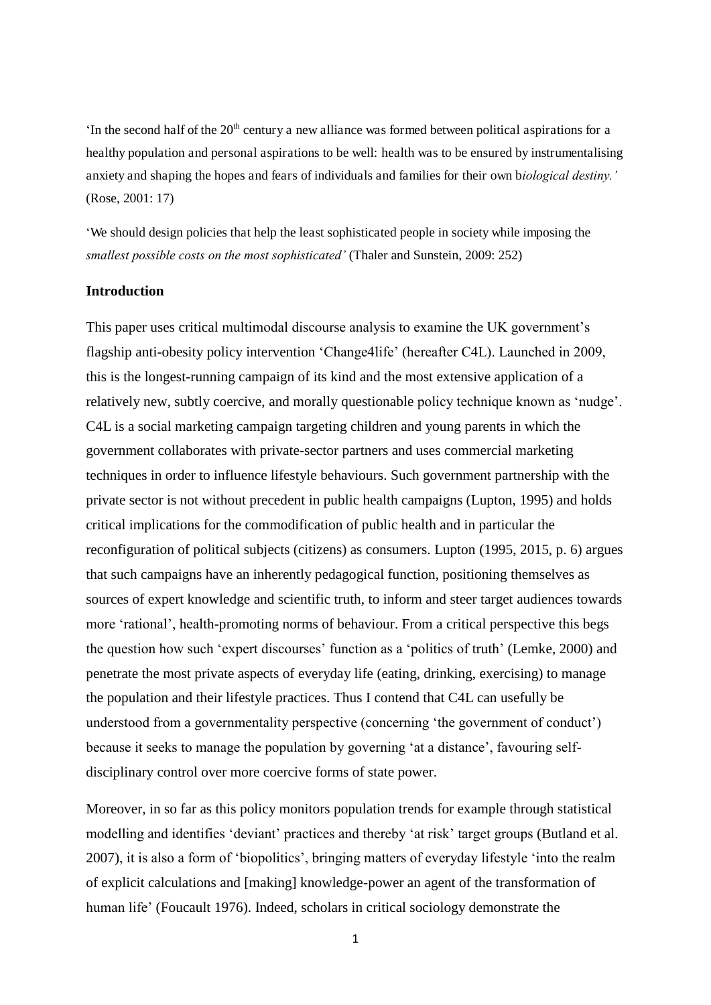$\cdot$ In the second half of the 20<sup>th</sup> century a new alliance was formed between political aspirations for a healthy population and personal aspirations to be well: health was to be ensured by instrumentalising anxiety and shaping the hopes and fears of individuals and families for their own b*iological destiny.'*  (Rose, 2001: 17)

'We should design policies that help the least sophisticated people in society while imposing the *smallest possible costs on the most sophisticated'* (Thaler and Sunstein, 2009: 252)

### **Introduction**

This paper uses critical multimodal discourse analysis to examine the UK government's flagship anti-obesity policy intervention 'Change4life' (hereafter C4L). Launched in 2009, this is the longest-running campaign of its kind and the most extensive application of a relatively new, subtly coercive, and morally questionable policy technique known as 'nudge'. C4L is a social marketing campaign targeting children and young parents in which the government collaborates with private-sector partners and uses commercial marketing techniques in order to influence lifestyle behaviours. Such government partnership with the private sector is not without precedent in public health campaigns (Lupton, 1995) and holds critical implications for the commodification of public health and in particular the reconfiguration of political subjects (citizens) as consumers. Lupton (1995, 2015, p. 6) argues that such campaigns have an inherently pedagogical function, positioning themselves as sources of expert knowledge and scientific truth, to inform and steer target audiences towards more 'rational', health-promoting norms of behaviour. From a critical perspective this begs the question how such 'expert discourses' function as a 'politics of truth' (Lemke, 2000) and penetrate the most private aspects of everyday life (eating, drinking, exercising) to manage the population and their lifestyle practices. Thus I contend that C4L can usefully be understood from a governmentality perspective (concerning 'the government of conduct') because it seeks to manage the population by governing 'at a distance', favouring selfdisciplinary control over more coercive forms of state power.

Moreover, in so far as this policy monitors population trends for example through statistical modelling and identifies 'deviant' practices and thereby 'at risk' target groups (Butland et al. 2007), it is also a form of 'biopolitics', bringing matters of everyday lifestyle 'into the realm of explicit calculations and [making] knowledge-power an agent of the transformation of human life' (Foucault 1976). Indeed, scholars in critical sociology demonstrate the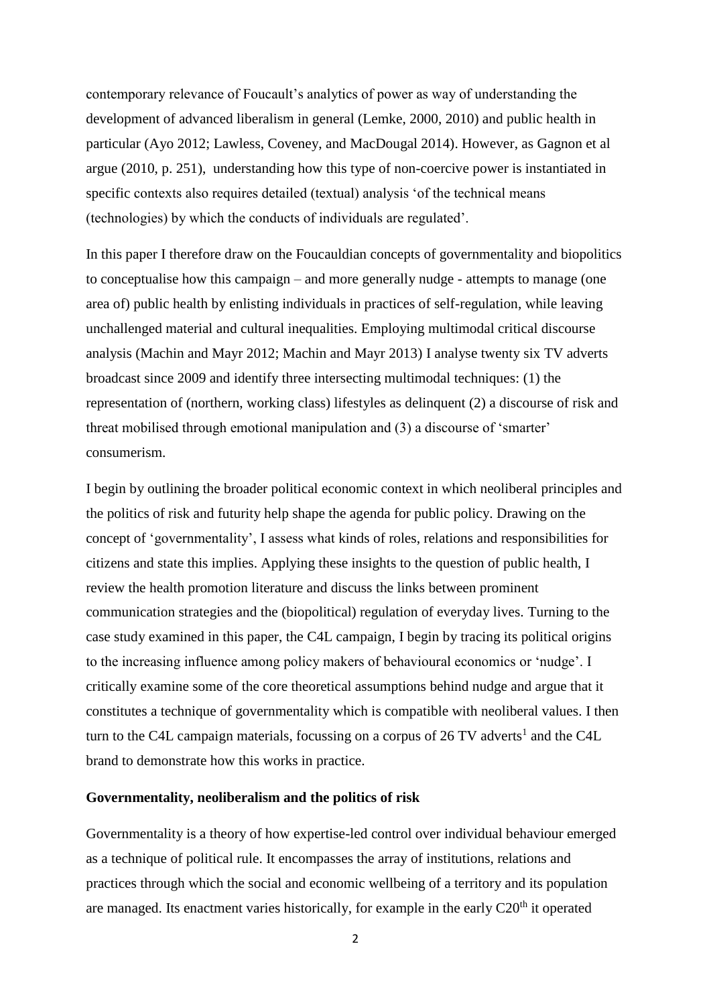contemporary relevance of Foucault's analytics of power as way of understanding the development of advanced liberalism in general (Lemke, 2000, 2010) and public health in particular (Ayo 2012; Lawless, Coveney, and MacDougal 2014). However, as Gagnon et al argue (2010, p. 251), understanding how this type of non-coercive power is instantiated in specific contexts also requires detailed (textual) analysis 'of the technical means (technologies) by which the conducts of individuals are regulated'.

In this paper I therefore draw on the Foucauldian concepts of governmentality and biopolitics to conceptualise how this campaign – and more generally nudge - attempts to manage (one area of) public health by enlisting individuals in practices of self-regulation, while leaving unchallenged material and cultural inequalities. Employing multimodal critical discourse analysis (Machin and Mayr 2012; Machin and Mayr 2013) I analyse twenty six TV adverts broadcast since 2009 and identify three intersecting multimodal techniques: (1) the representation of (northern, working class) lifestyles as delinquent (2) a discourse of risk and threat mobilised through emotional manipulation and (3) a discourse of 'smarter' consumerism.

I begin by outlining the broader political economic context in which neoliberal principles and the politics of risk and futurity help shape the agenda for public policy. Drawing on the concept of 'governmentality', I assess what kinds of roles, relations and responsibilities for citizens and state this implies. Applying these insights to the question of public health, I review the health promotion literature and discuss the links between prominent communication strategies and the (biopolitical) regulation of everyday lives. Turning to the case study examined in this paper, the C4L campaign, I begin by tracing its political origins to the increasing influence among policy makers of behavioural economics or 'nudge'. I critically examine some of the core theoretical assumptions behind nudge and argue that it constitutes a technique of governmentality which is compatible with neoliberal values. I then turn to the C4L campaign materials, focussing on a corpus of  $26 \text{ TV}$  adverts<sup>1</sup> and the C4L brand to demonstrate how this works in practice.

## **Governmentality, neoliberalism and the politics of risk**

Governmentality is a theory of how expertise-led control over individual behaviour emerged as a technique of political rule. It encompasses the array of institutions, relations and practices through which the social and economic wellbeing of a territory and its population are managed. Its enactment varies historically, for example in the early C20<sup>th</sup> it operated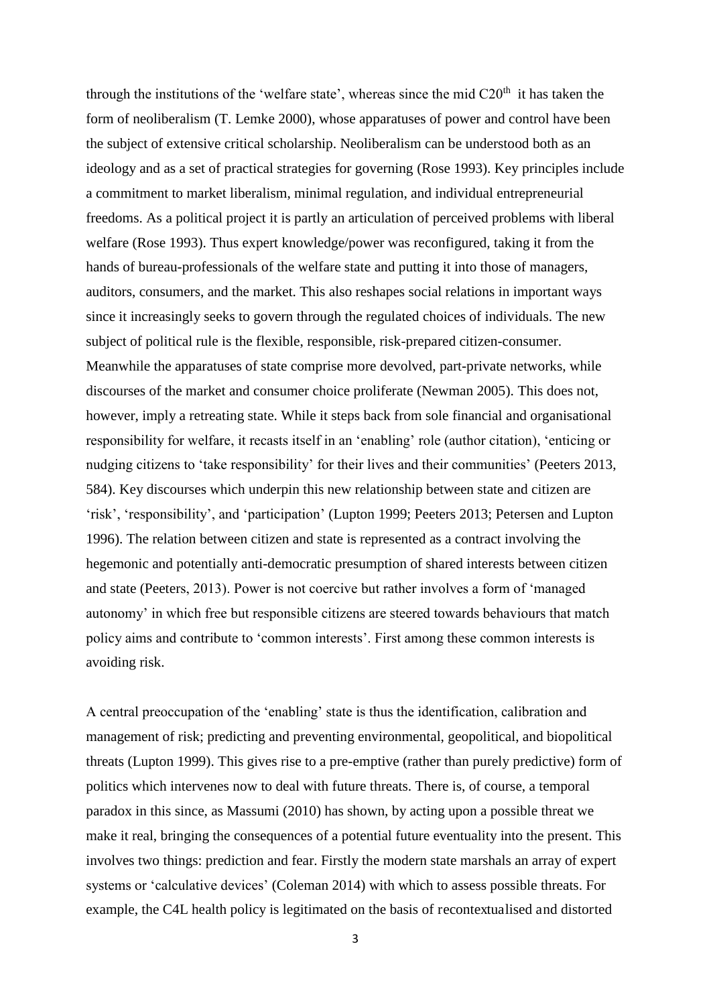through the institutions of the 'welfare state', whereas since the mid  $C20<sup>th</sup>$  it has taken the form of neoliberalism (T. Lemke 2000), whose apparatuses of power and control have been the subject of extensive critical scholarship. Neoliberalism can be understood both as an ideology and as a set of practical strategies for governing (Rose 1993). Key principles include a commitment to market liberalism, minimal regulation, and individual entrepreneurial freedoms. As a political project it is partly an articulation of perceived problems with liberal welfare (Rose 1993). Thus expert knowledge/power was reconfigured, taking it from the hands of bureau-professionals of the welfare state and putting it into those of managers, auditors, consumers, and the market. This also reshapes social relations in important ways since it increasingly seeks to govern through the regulated choices of individuals. The new subject of political rule is the flexible, responsible, risk-prepared citizen-consumer. Meanwhile the apparatuses of state comprise more devolved, part-private networks, while discourses of the market and consumer choice proliferate (Newman 2005). This does not, however, imply a retreating state. While it steps back from sole financial and organisational responsibility for welfare, it recasts itself in an 'enabling' role (author citation), 'enticing or nudging citizens to 'take responsibility' for their lives and their communities' (Peeters 2013, 584). Key discourses which underpin this new relationship between state and citizen are 'risk', 'responsibility', and 'participation' (Lupton 1999; Peeters 2013; Petersen and Lupton 1996). The relation between citizen and state is represented as a contract involving the hegemonic and potentially anti-democratic presumption of shared interests between citizen and state (Peeters, 2013). Power is not coercive but rather involves a form of 'managed autonomy' in which free but responsible citizens are steered towards behaviours that match policy aims and contribute to 'common interests'. First among these common interests is avoiding risk.

A central preoccupation of the 'enabling' state is thus the identification, calibration and management of risk; predicting and preventing environmental, geopolitical, and biopolitical threats (Lupton 1999). This gives rise to a pre-emptive (rather than purely predictive) form of politics which intervenes now to deal with future threats. There is, of course, a temporal paradox in this since, as Massumi (2010) has shown, by acting upon a possible threat we make it real, bringing the consequences of a potential future eventuality into the present. This involves two things: prediction and fear. Firstly the modern state marshals an array of expert systems or 'calculative devices' (Coleman 2014) with which to assess possible threats. For example, the C4L health policy is legitimated on the basis of recontextualised and distorted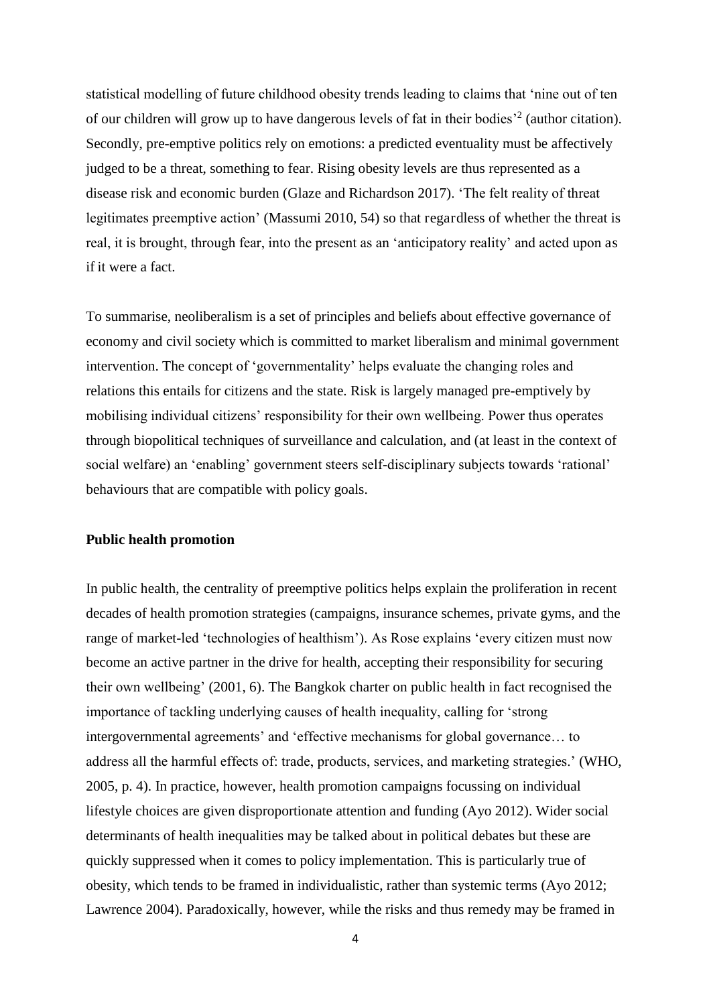statistical modelling of future childhood obesity trends leading to claims that 'nine out of ten of our children will grow up to have dangerous levels of fat in their bodies<sup>'2</sup> (author citation). Secondly, pre-emptive politics rely on emotions: a predicted eventuality must be affectively judged to be a threat, something to fear. Rising obesity levels are thus represented as a disease risk and economic burden (Glaze and Richardson 2017). 'The felt reality of threat legitimates preemptive action' (Massumi 2010, 54) so that regardless of whether the threat is real, it is brought, through fear, into the present as an 'anticipatory reality' and acted upon as if it were a fact.

To summarise, neoliberalism is a set of principles and beliefs about effective governance of economy and civil society which is committed to market liberalism and minimal government intervention. The concept of 'governmentality' helps evaluate the changing roles and relations this entails for citizens and the state. Risk is largely managed pre-emptively by mobilising individual citizens' responsibility for their own wellbeing. Power thus operates through biopolitical techniques of surveillance and calculation, and (at least in the context of social welfare) an 'enabling' government steers self-disciplinary subjects towards 'rational' behaviours that are compatible with policy goals.

## **Public health promotion**

In public health, the centrality of preemptive politics helps explain the proliferation in recent decades of health promotion strategies (campaigns, insurance schemes, private gyms, and the range of market-led 'technologies of healthism'). As Rose explains 'every citizen must now become an active partner in the drive for health, accepting their responsibility for securing their own wellbeing' (2001, 6). The Bangkok charter on public health in fact recognised the importance of tackling underlying causes of health inequality, calling for 'strong intergovernmental agreements' and 'effective mechanisms for global governance… to address all the harmful effects of: trade, products, services, and marketing strategies.' (WHO, 2005, p. 4). In practice, however, health promotion campaigns focussing on individual lifestyle choices are given disproportionate attention and funding (Ayo 2012). Wider social determinants of health inequalities may be talked about in political debates but these are quickly suppressed when it comes to policy implementation. This is particularly true of obesity, which tends to be framed in individualistic, rather than systemic terms (Ayo 2012; Lawrence 2004). Paradoxically, however, while the risks and thus remedy may be framed in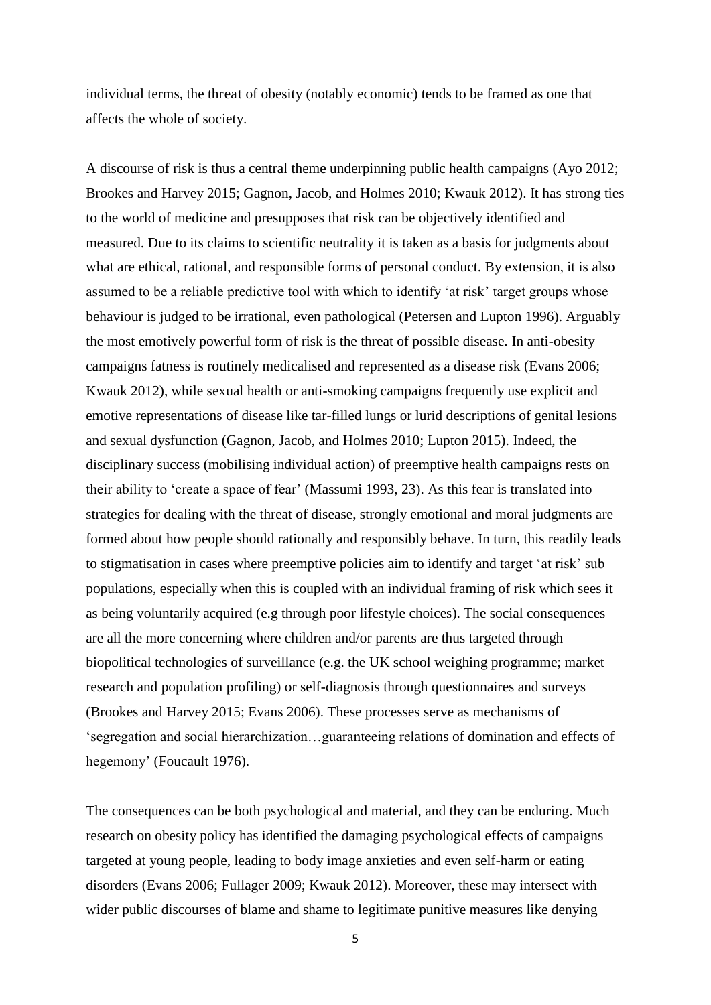individual terms, the threat of obesity (notably economic) tends to be framed as one that affects the whole of society.

A discourse of risk is thus a central theme underpinning public health campaigns (Ayo 2012; Brookes and Harvey 2015; Gagnon, Jacob, and Holmes 2010; Kwauk 2012). It has strong ties to the world of medicine and presupposes that risk can be objectively identified and measured. Due to its claims to scientific neutrality it is taken as a basis for judgments about what are ethical, rational, and responsible forms of personal conduct. By extension, it is also assumed to be a reliable predictive tool with which to identify 'at risk' target groups whose behaviour is judged to be irrational, even pathological (Petersen and Lupton 1996). Arguably the most emotively powerful form of risk is the threat of possible disease. In anti-obesity campaigns fatness is routinely medicalised and represented as a disease risk (Evans 2006; Kwauk 2012), while sexual health or anti-smoking campaigns frequently use explicit and emotive representations of disease like tar-filled lungs or lurid descriptions of genital lesions and sexual dysfunction (Gagnon, Jacob, and Holmes 2010; Lupton 2015). Indeed, the disciplinary success (mobilising individual action) of preemptive health campaigns rests on their ability to 'create a space of fear' (Massumi 1993, 23). As this fear is translated into strategies for dealing with the threat of disease, strongly emotional and moral judgments are formed about how people should rationally and responsibly behave. In turn, this readily leads to stigmatisation in cases where preemptive policies aim to identify and target 'at risk' sub populations, especially when this is coupled with an individual framing of risk which sees it as being voluntarily acquired (e.g through poor lifestyle choices). The social consequences are all the more concerning where children and/or parents are thus targeted through biopolitical technologies of surveillance (e.g. the UK school weighing programme; market research and population profiling) or self-diagnosis through questionnaires and surveys (Brookes and Harvey 2015; Evans 2006). These processes serve as mechanisms of 'segregation and social hierarchization…guaranteeing relations of domination and effects of hegemony' (Foucault 1976).

The consequences can be both psychological and material, and they can be enduring. Much research on obesity policy has identified the damaging psychological effects of campaigns targeted at young people, leading to body image anxieties and even self-harm or eating disorders (Evans 2006; Fullager 2009; Kwauk 2012). Moreover, these may intersect with wider public discourses of blame and shame to legitimate punitive measures like denying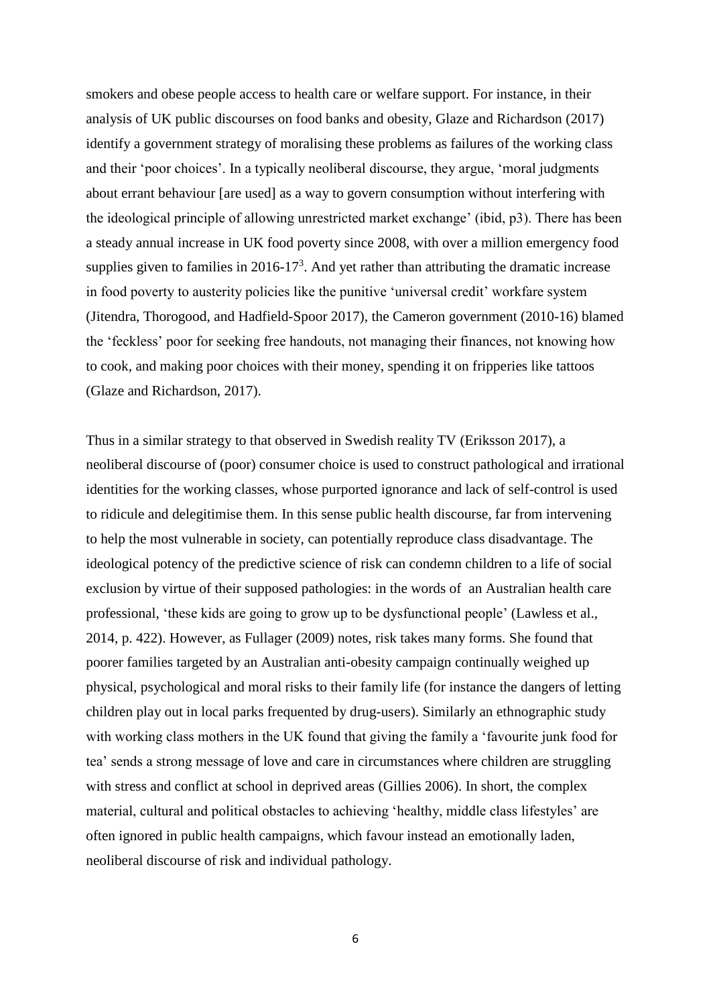smokers and obese people access to health care or welfare support. For instance, in their analysis of UK public discourses on food banks and obesity, Glaze and Richardson (2017) identify a government strategy of moralising these problems as failures of the working class and their 'poor choices'. In a typically neoliberal discourse, they argue, 'moral judgments about errant behaviour [are used] as a way to govern consumption without interfering with the ideological principle of allowing unrestricted market exchange' (ibid, p3). There has been a steady annual increase in UK food poverty since 2008, with over a million emergency food supplies given to families in  $2016 - 17<sup>3</sup>$ . And yet rather than attributing the dramatic increase in food poverty to austerity policies like the punitive 'universal credit' workfare system (Jitendra, Thorogood, and Hadfield-Spoor 2017), the Cameron government (2010-16) blamed the 'feckless' poor for seeking free handouts, not managing their finances, not knowing how to cook, and making poor choices with their money, spending it on fripperies like tattoos (Glaze and Richardson, 2017).

Thus in a similar strategy to that observed in Swedish reality TV (Eriksson 2017), a neoliberal discourse of (poor) consumer choice is used to construct pathological and irrational identities for the working classes, whose purported ignorance and lack of self-control is used to ridicule and delegitimise them. In this sense public health discourse, far from intervening to help the most vulnerable in society, can potentially reproduce class disadvantage. The ideological potency of the predictive science of risk can condemn children to a life of social exclusion by virtue of their supposed pathologies: in the words of an Australian health care professional, 'these kids are going to grow up to be dysfunctional people' (Lawless et al., 2014, p. 422). However, as Fullager (2009) notes, risk takes many forms. She found that poorer families targeted by an Australian anti-obesity campaign continually weighed up physical, psychological and moral risks to their family life (for instance the dangers of letting children play out in local parks frequented by drug-users). Similarly an ethnographic study with working class mothers in the UK found that giving the family a 'favourite junk food for tea' sends a strong message of love and care in circumstances where children are struggling with stress and conflict at school in deprived areas (Gillies 2006). In short, the complex material, cultural and political obstacles to achieving 'healthy, middle class lifestyles' are often ignored in public health campaigns, which favour instead an emotionally laden, neoliberal discourse of risk and individual pathology.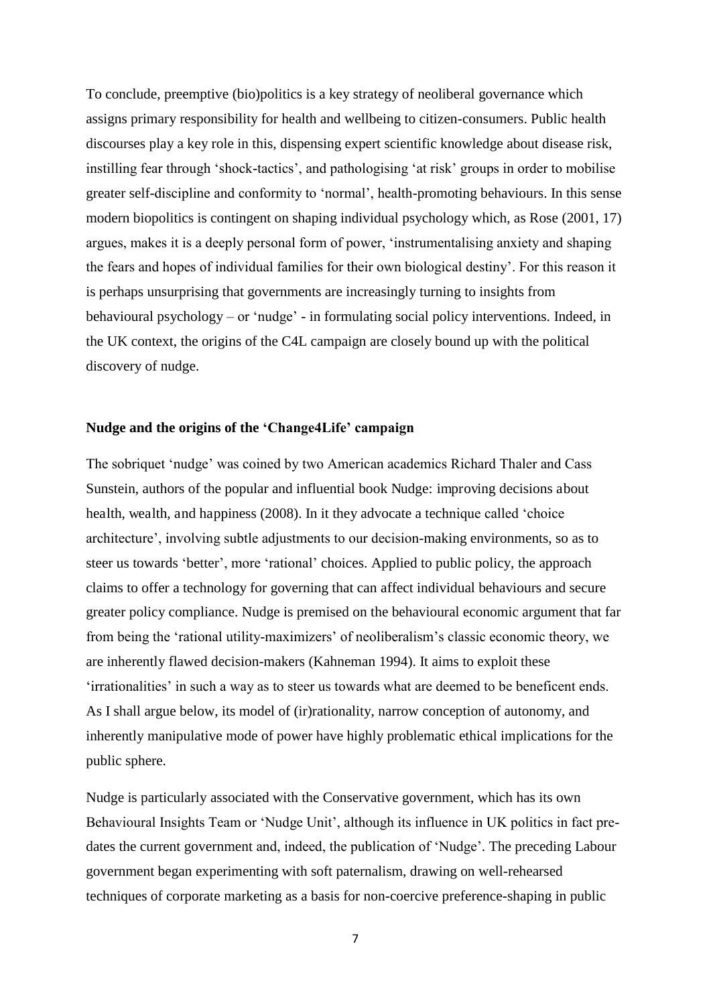To conclude, preemptive (bio)politics is a key strategy of neoliberal governance which assigns primary responsibility for health and wellbeing to citizen-consumers. Public health discourses play a key role in this, dispensing expert scientific knowledge about disease risk, instilling fear through 'shock-tactics', and pathologising 'at risk' groups in order to mobilise greater self-discipline and conformity to 'normal', health-promoting behaviours. In this sense modern biopolitics is contingent on shaping individual psychology which, as Rose (2001, 17) argues, makes it is a deeply personal form of power, 'instrumentalising anxiety and shaping the fears and hopes of individual families for their own biological destiny'. For this reason it is perhaps unsurprising that governments are increasingly turning to insights from behavioural psychology – or 'nudge' - in formulating social policy interventions. Indeed, in the UK context, the origins of the C4L campaign are closely bound up with the political discovery of nudge.

## **Nudge and the origins of the 'Change4Life' campaign**

The sobriquet 'nudge' was coined by two American academics Richard Thaler and Cass Sunstein, authors of the popular and influential book Nudge: improving decisions about health, wealth, and happiness (2008). In it they advocate a technique called 'choice architecture', involving subtle adjustments to our decision-making environments, so as to steer us towards 'better', more 'rational' choices. Applied to public policy, the approach claims to offer a technology for governing that can affect individual behaviours and secure greater policy compliance. Nudge is premised on the behavioural economic argument that far from being the 'rational utility-maximizers' of neoliberalism's classic economic theory, we are inherently flawed decision-makers (Kahneman 1994). It aims to exploit these 'irrationalities' in such a way as to steer us towards what are deemed to be beneficent ends. As I shall argue below, its model of (ir)rationality, narrow conception of autonomy, and inherently manipulative mode of power have highly problematic ethical implications for the public sphere.

Nudge is particularly associated with the Conservative government, which has its own Behavioural Insights Team or 'Nudge Unit', although its influence in UK politics in fact predates the current government and, indeed, the publication of 'Nudge'. The preceding Labour government began experimenting with soft paternalism, drawing on well-rehearsed techniques of corporate marketing as a basis for non-coercive preference-shaping in public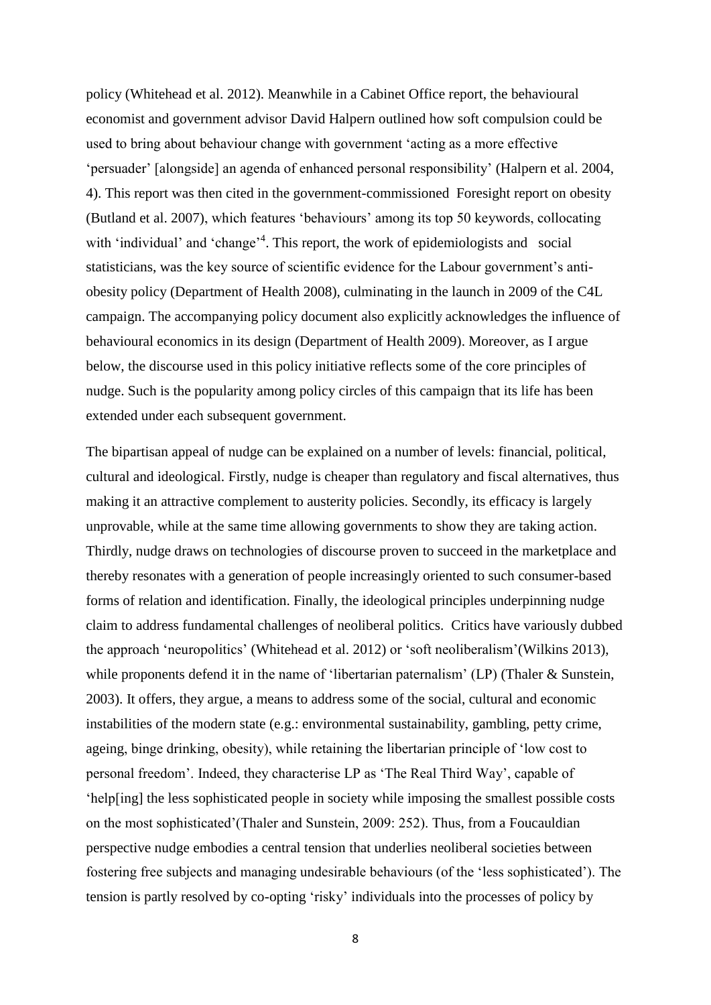policy (Whitehead et al. 2012). Meanwhile in a Cabinet Office report, the behavioural economist and government advisor David Halpern outlined how soft compulsion could be used to bring about behaviour change with government 'acting as a more effective 'persuader' [alongside] an agenda of enhanced personal responsibility' (Halpern et al. 2004, 4). This report was then cited in the government-commissioned Foresight report on obesity (Butland et al. 2007), which features 'behaviours' among its top 50 keywords, collocating with 'individual' and 'change'<sup>4</sup>. This report, the work of epidemiologists and social statisticians, was the key source of scientific evidence for the Labour government's antiobesity policy (Department of Health 2008), culminating in the launch in 2009 of the C4L campaign. The accompanying policy document also explicitly acknowledges the influence of behavioural economics in its design (Department of Health 2009). Moreover, as I argue below, the discourse used in this policy initiative reflects some of the core principles of nudge. Such is the popularity among policy circles of this campaign that its life has been extended under each subsequent government.

The bipartisan appeal of nudge can be explained on a number of levels: financial, political, cultural and ideological. Firstly, nudge is cheaper than regulatory and fiscal alternatives, thus making it an attractive complement to austerity policies. Secondly, its efficacy is largely unprovable, while at the same time allowing governments to show they are taking action. Thirdly, nudge draws on technologies of discourse proven to succeed in the marketplace and thereby resonates with a generation of people increasingly oriented to such consumer-based forms of relation and identification. Finally, the ideological principles underpinning nudge claim to address fundamental challenges of neoliberal politics. Critics have variously dubbed the approach 'neuropolitics' (Whitehead et al. 2012) or 'soft neoliberalism'(Wilkins 2013), while proponents defend it in the name of 'libertarian paternalism' (LP) (Thaler & Sunstein, 2003). It offers, they argue, a means to address some of the social, cultural and economic instabilities of the modern state (e.g.: environmental sustainability, gambling, petty crime, ageing, binge drinking, obesity), while retaining the libertarian principle of 'low cost to personal freedom'. Indeed, they characterise LP as 'The Real Third Way', capable of 'help[ing] the less sophisticated people in society while imposing the smallest possible costs on the most sophisticated'(Thaler and Sunstein, 2009: 252). Thus, from a Foucauldian perspective nudge embodies a central tension that underlies neoliberal societies between fostering free subjects and managing undesirable behaviours (of the 'less sophisticated'). The tension is partly resolved by co-opting 'risky' individuals into the processes of policy by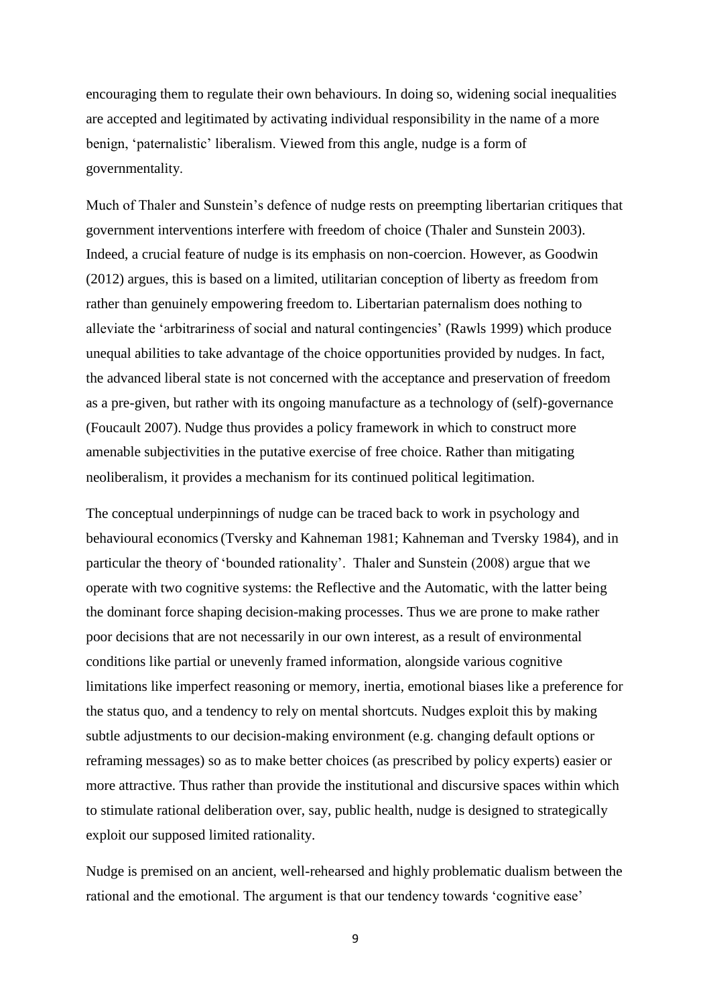encouraging them to regulate their own behaviours. In doing so, widening social inequalities are accepted and legitimated by activating individual responsibility in the name of a more benign, 'paternalistic' liberalism. Viewed from this angle, nudge is a form of governmentality.

Much of Thaler and Sunstein's defence of nudge rests on preempting libertarian critiques that government interventions interfere with freedom of choice (Thaler and Sunstein 2003). Indeed, a crucial feature of nudge is its emphasis on non-coercion. However, as Goodwin (2012) argues, this is based on a limited, utilitarian conception of liberty as freedom from rather than genuinely empowering freedom to. Libertarian paternalism does nothing to alleviate the 'arbitrariness of social and natural contingencies' (Rawls 1999) which produce unequal abilities to take advantage of the choice opportunities provided by nudges. In fact, the advanced liberal state is not concerned with the acceptance and preservation of freedom as a pre-given, but rather with its ongoing manufacture as a technology of (self)-governance (Foucault 2007). Nudge thus provides a policy framework in which to construct more amenable subjectivities in the putative exercise of free choice. Rather than mitigating neoliberalism, it provides a mechanism for its continued political legitimation.

The conceptual underpinnings of nudge can be traced back to work in psychology and behavioural economics(Tversky and Kahneman 1981; Kahneman and Tversky 1984), and in particular the theory of 'bounded rationality'. Thaler and Sunstein (2008) argue that we operate with two cognitive systems: the Reflective and the Automatic, with the latter being the dominant force shaping decision-making processes. Thus we are prone to make rather poor decisions that are not necessarily in our own interest, as a result of environmental conditions like partial or unevenly framed information, alongside various cognitive limitations like imperfect reasoning or memory, inertia, emotional biases like a preference for the status quo, and a tendency to rely on mental shortcuts. Nudges exploit this by making subtle adjustments to our decision-making environment (e.g. changing default options or reframing messages) so as to make better choices (as prescribed by policy experts) easier or more attractive. Thus rather than provide the institutional and discursive spaces within which to stimulate rational deliberation over, say, public health, nudge is designed to strategically exploit our supposed limited rationality.

Nudge is premised on an ancient, well-rehearsed and highly problematic dualism between the rational and the emotional. The argument is that our tendency towards 'cognitive ease'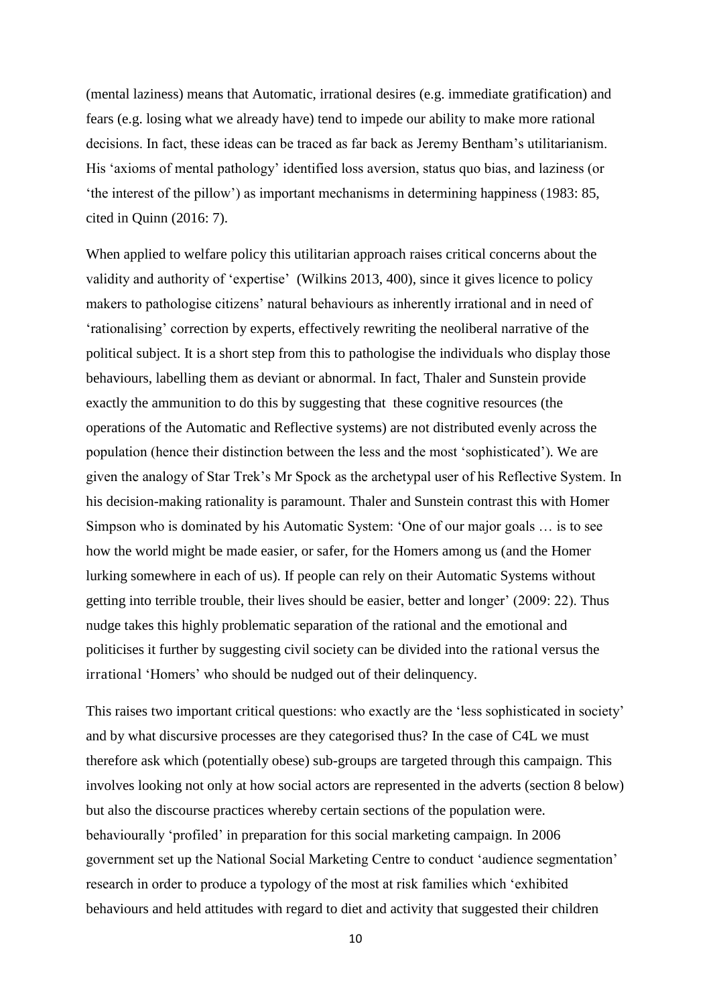(mental laziness) means that Automatic, irrational desires (e.g. immediate gratification) and fears (e.g. losing what we already have) tend to impede our ability to make more rational decisions. In fact, these ideas can be traced as far back as Jeremy Bentham's utilitarianism. His 'axioms of mental pathology' identified loss aversion, status quo bias, and laziness (or 'the interest of the pillow') as important mechanisms in determining happiness (1983: 85, cited in Quinn (2016: 7).

When applied to welfare policy this utilitarian approach raises critical concerns about the validity and authority of 'expertise' (Wilkins 2013, 400), since it gives licence to policy makers to pathologise citizens' natural behaviours as inherently irrational and in need of 'rationalising' correction by experts, effectively rewriting the neoliberal narrative of the political subject. It is a short step from this to pathologise the individuals who display those behaviours, labelling them as deviant or abnormal. In fact, Thaler and Sunstein provide exactly the ammunition to do this by suggesting that these cognitive resources (the operations of the Automatic and Reflective systems) are not distributed evenly across the population (hence their distinction between the less and the most 'sophisticated'). We are given the analogy of Star Trek's Mr Spock as the archetypal user of his Reflective System. In his decision-making rationality is paramount. Thaler and Sunstein contrast this with Homer Simpson who is dominated by his Automatic System: 'One of our major goals … is to see how the world might be made easier, or safer, for the Homers among us (and the Homer lurking somewhere in each of us). If people can rely on their Automatic Systems without getting into terrible trouble, their lives should be easier, better and longer' (2009: 22). Thus nudge takes this highly problematic separation of the rational and the emotional and politicises it further by suggesting civil society can be divided into the rational versus the irrational 'Homers' who should be nudged out of their delinquency.

This raises two important critical questions: who exactly are the 'less sophisticated in society' and by what discursive processes are they categorised thus? In the case of C4L we must therefore ask which (potentially obese) sub-groups are targeted through this campaign. This involves looking not only at how social actors are represented in the adverts (section 8 below) but also the discourse practices whereby certain sections of the population were. behaviourally 'profiled' in preparation for this social marketing campaign. In 2006 government set up the National Social Marketing Centre to conduct 'audience segmentation' research in order to produce a typology of the most at risk families which 'exhibited behaviours and held attitudes with regard to diet and activity that suggested their children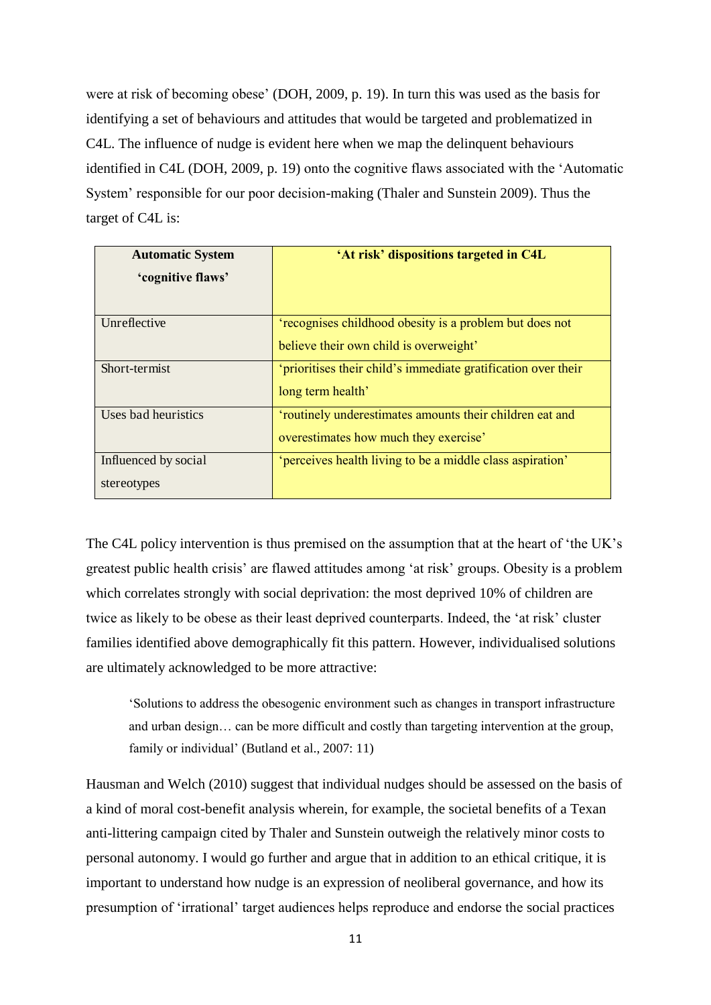were at risk of becoming obese' (DOH, 2009, p. 19). In turn this was used as the basis for identifying a set of behaviours and attitudes that would be targeted and problematized in C4L. The influence of nudge is evident here when we map the delinquent behaviours identified in C4L (DOH, 2009, p. 19) onto the cognitive flaws associated with the 'Automatic System' responsible for our poor decision-making (Thaler and Sunstein 2009). Thus the target of C4L is:

| <b>Automatic System</b> | 'At risk' dispositions targeted in C4L                        |
|-------------------------|---------------------------------------------------------------|
| 'cognitive flaws'       |                                                               |
|                         |                                                               |
| Unreflective            | 'recognises childhood obesity is a problem but does not       |
|                         | believe their own child is overweight'                        |
| Short-termist           | 'prioritises their child's immediate gratification over their |
|                         | long term health'                                             |
| Uses bad heuristics     | 'routinely underestimates amounts their children eat and      |
|                         | overestimates how much they exercise'                         |
| Influenced by social    | 'perceives health living to be a middle class aspiration'     |
| stereotypes             |                                                               |

The C4L policy intervention is thus premised on the assumption that at the heart of 'the UK's greatest public health crisis' are flawed attitudes among 'at risk' groups. Obesity is a problem which correlates strongly with social deprivation: the most deprived 10% of children are twice as likely to be obese as their least deprived counterparts. Indeed, the 'at risk' cluster families identified above demographically fit this pattern. However, individualised solutions are ultimately acknowledged to be more attractive:

'Solutions to address the obesogenic environment such as changes in transport infrastructure and urban design… can be more difficult and costly than targeting intervention at the group, family or individual' (Butland et al., 2007: 11)

Hausman and Welch (2010) suggest that individual nudges should be assessed on the basis of a kind of moral cost-benefit analysis wherein, for example, the societal benefits of a Texan anti-littering campaign cited by Thaler and Sunstein outweigh the relatively minor costs to personal autonomy. I would go further and argue that in addition to an ethical critique, it is important to understand how nudge is an expression of neoliberal governance, and how its presumption of 'irrational' target audiences helps reproduce and endorse the social practices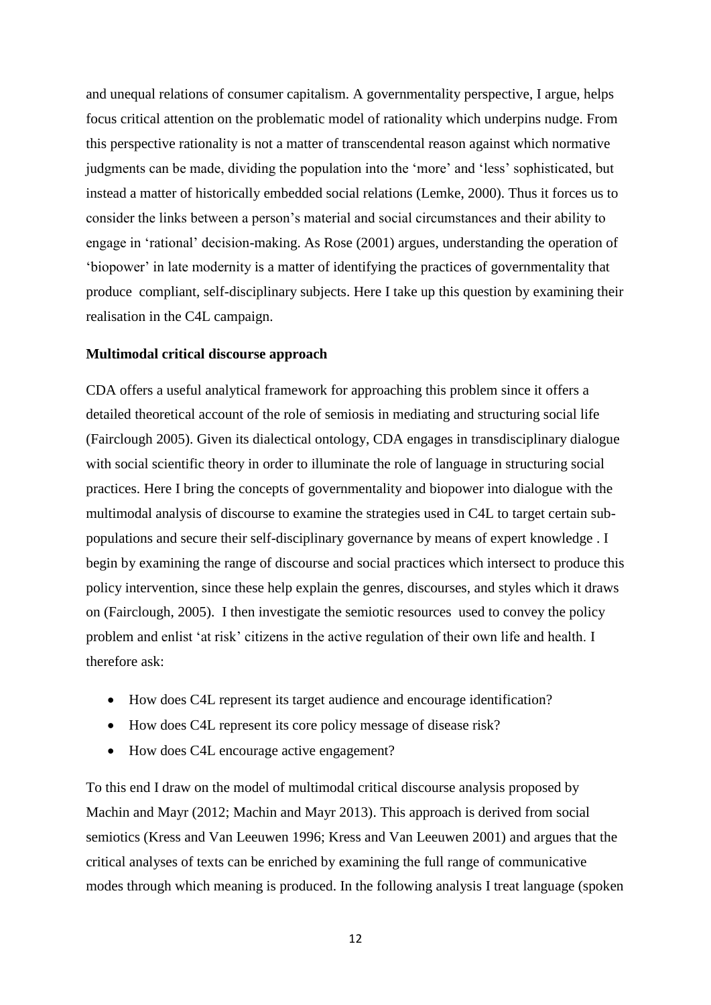and unequal relations of consumer capitalism. A governmentality perspective, I argue, helps focus critical attention on the problematic model of rationality which underpins nudge. From this perspective rationality is not a matter of transcendental reason against which normative judgments can be made, dividing the population into the 'more' and 'less' sophisticated, but instead a matter of historically embedded social relations (Lemke, 2000). Thus it forces us to consider the links between a person's material and social circumstances and their ability to engage in 'rational' decision-making. As Rose (2001) argues, understanding the operation of 'biopower' in late modernity is a matter of identifying the practices of governmentality that produce compliant, self-disciplinary subjects. Here I take up this question by examining their realisation in the C4L campaign.

#### **Multimodal critical discourse approach**

CDA offers a useful analytical framework for approaching this problem since it offers a detailed theoretical account of the role of semiosis in mediating and structuring social life (Fairclough 2005). Given its dialectical ontology, CDA engages in transdisciplinary dialogue with social scientific theory in order to illuminate the role of language in structuring social practices. Here I bring the concepts of governmentality and biopower into dialogue with the multimodal analysis of discourse to examine the strategies used in C4L to target certain subpopulations and secure their self-disciplinary governance by means of expert knowledge . I begin by examining the range of discourse and social practices which intersect to produce this policy intervention, since these help explain the genres, discourses, and styles which it draws on (Fairclough, 2005). I then investigate the semiotic resources used to convey the policy problem and enlist 'at risk' citizens in the active regulation of their own life and health. I therefore ask:

- How does C4L represent its target audience and encourage identification?
- How does C4L represent its core policy message of disease risk?
- How does C4L encourage active engagement?

To this end I draw on the model of multimodal critical discourse analysis proposed by Machin and Mayr (2012; Machin and Mayr 2013). This approach is derived from social semiotics (Kress and Van Leeuwen 1996; Kress and Van Leeuwen 2001) and argues that the critical analyses of texts can be enriched by examining the full range of communicative modes through which meaning is produced. In the following analysis I treat language (spoken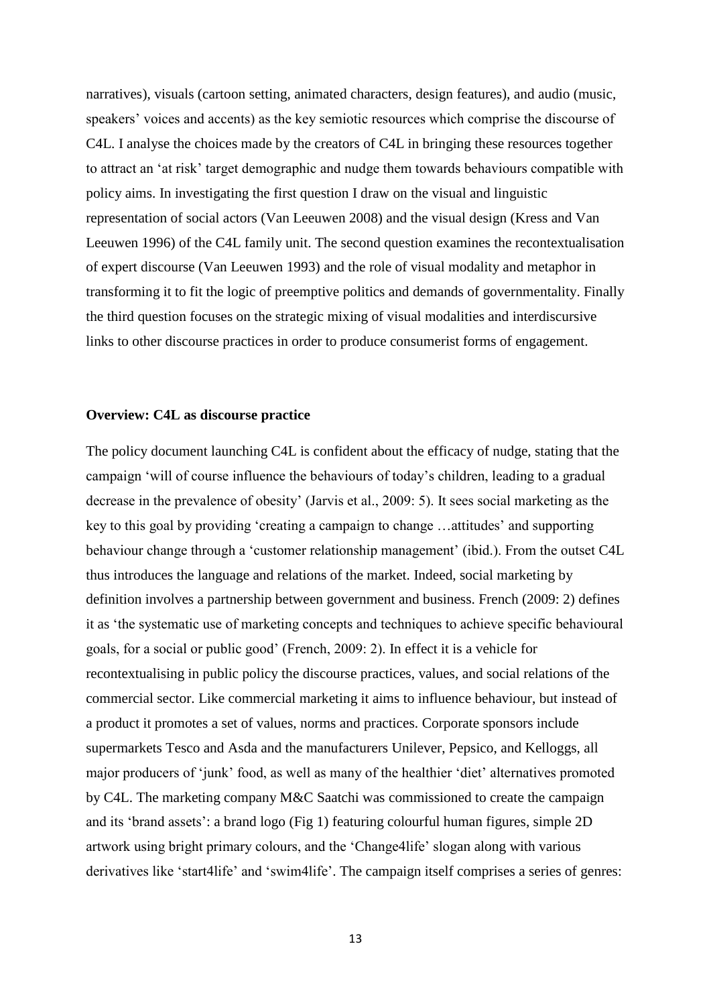narratives), visuals (cartoon setting, animated characters, design features), and audio (music, speakers' voices and accents) as the key semiotic resources which comprise the discourse of C4L. I analyse the choices made by the creators of C4L in bringing these resources together to attract an 'at risk' target demographic and nudge them towards behaviours compatible with policy aims. In investigating the first question I draw on the visual and linguistic representation of social actors (Van Leeuwen 2008) and the visual design (Kress and Van Leeuwen 1996) of the C4L family unit. The second question examines the recontextualisation of expert discourse (Van Leeuwen 1993) and the role of visual modality and metaphor in transforming it to fit the logic of preemptive politics and demands of governmentality. Finally the third question focuses on the strategic mixing of visual modalities and interdiscursive links to other discourse practices in order to produce consumerist forms of engagement.

## **Overview: C4L as discourse practice**

The policy document launching C4L is confident about the efficacy of nudge, stating that the campaign 'will of course influence the behaviours of today's children, leading to a gradual decrease in the prevalence of obesity' (Jarvis et al., 2009: 5). It sees social marketing as the key to this goal by providing 'creating a campaign to change …attitudes' and supporting behaviour change through a 'customer relationship management' (ibid.). From the outset C4L thus introduces the language and relations of the market. Indeed, social marketing by definition involves a partnership between government and business. French (2009: 2) defines it as 'the systematic use of marketing concepts and techniques to achieve specific behavioural goals, for a social or public good' (French, 2009: 2). In effect it is a vehicle for recontextualising in public policy the discourse practices, values, and social relations of the commercial sector. Like commercial marketing it aims to influence behaviour, but instead of a product it promotes a set of values, norms and practices. Corporate sponsors include supermarkets Tesco and Asda and the manufacturers Unilever, Pepsico, and Kelloggs, all major producers of 'junk' food, as well as many of the healthier 'diet' alternatives promoted by C4L. The marketing company M&C Saatchi was commissioned to create the campaign and its 'brand assets': a brand logo (Fig 1) featuring colourful human figures, simple 2D artwork using bright primary colours, and the 'Change4life' slogan along with various derivatives like 'start4life' and 'swim4life'. The campaign itself comprises a series of genres: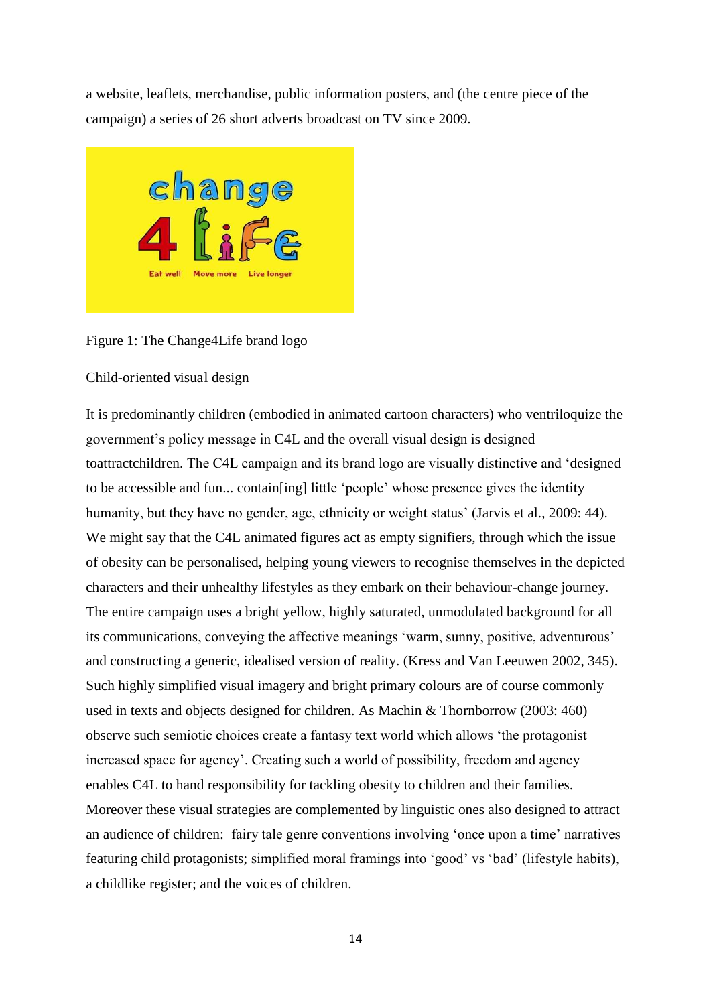a website, leaflets, merchandise, public information posters, and (the centre piece of the campaign) a series of 26 short adverts broadcast on TV since 2009.



## Figure 1: The Change4Life brand logo

## Child-oriented visual design

It is predominantly children (embodied in animated cartoon characters) who ventriloquize the government's policy message in C4L and the overall visual design is designed toattractchildren. The C4L campaign and its brand logo are visually distinctive and 'designed to be accessible and fun... contain[ing] little 'people' whose presence gives the identity humanity, but they have no gender, age, ethnicity or weight status' (Jarvis et al., 2009: 44). We might say that the C4L animated figures act as empty signifiers, through which the issue of obesity can be personalised, helping young viewers to recognise themselves in the depicted characters and their unhealthy lifestyles as they embark on their behaviour-change journey. The entire campaign uses a bright yellow, highly saturated, unmodulated background for all its communications, conveying the affective meanings 'warm, sunny, positive, adventurous' and constructing a generic, idealised version of reality. (Kress and Van Leeuwen 2002, 345). Such highly simplified visual imagery and bright primary colours are of course commonly used in texts and objects designed for children. As Machin & Thornborrow (2003: 460) observe such semiotic choices create a fantasy text world which allows 'the protagonist increased space for agency'. Creating such a world of possibility, freedom and agency enables C4L to hand responsibility for tackling obesity to children and their families. Moreover these visual strategies are complemented by linguistic ones also designed to attract an audience of children: fairy tale genre conventions involving 'once upon a time' narratives featuring child protagonists; simplified moral framings into 'good' vs 'bad' (lifestyle habits), a childlike register; and the voices of children.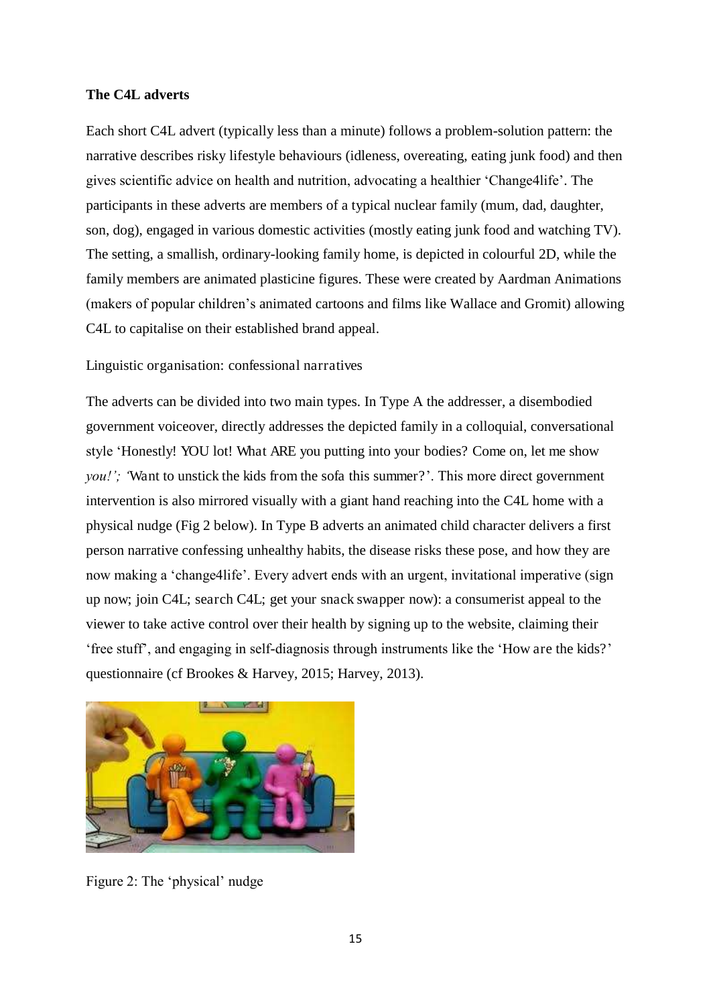# **The C4L adverts**

Each short C4L advert (typically less than a minute) follows a problem-solution pattern: the narrative describes risky lifestyle behaviours (idleness, overeating, eating junk food) and then gives scientific advice on health and nutrition, advocating a healthier 'Change4life'. The participants in these adverts are members of a typical nuclear family (mum, dad, daughter, son, dog), engaged in various domestic activities (mostly eating junk food and watching TV). The setting, a smallish, ordinary-looking family home, is depicted in colourful 2D, while the family members are animated plasticine figures. These were created by Aardman Animations (makers of popular children's animated cartoons and films like Wallace and Gromit) allowing C4L to capitalise on their established brand appeal.

# Linguistic organisation: confessional narratives

The adverts can be divided into two main types. In Type A the addresser, a disembodied government voiceover, directly addresses the depicted family in a colloquial, conversational style 'Honestly! YOU lot! What ARE you putting into your bodies? Come on, let me show *you!'*; 'Want to unstick the kids from the sofa this summer?'. This more direct government intervention is also mirrored visually with a giant hand reaching into the C4L home with a physical nudge (Fig 2 below). In Type B adverts an animated child character delivers a first person narrative confessing unhealthy habits, the disease risks these pose, and how they are now making a 'change4life'. Every advert ends with an urgent, invitational imperative (sign up now; join C4L; search C4L; get your snack swapper now): a consumerist appeal to the viewer to take active control over their health by signing up to the website, claiming their 'free stuff', and engaging in self-diagnosis through instruments like the 'How are the kids?' questionnaire (cf Brookes & Harvey, 2015; Harvey, 2013).



Figure 2: The 'physical' nudge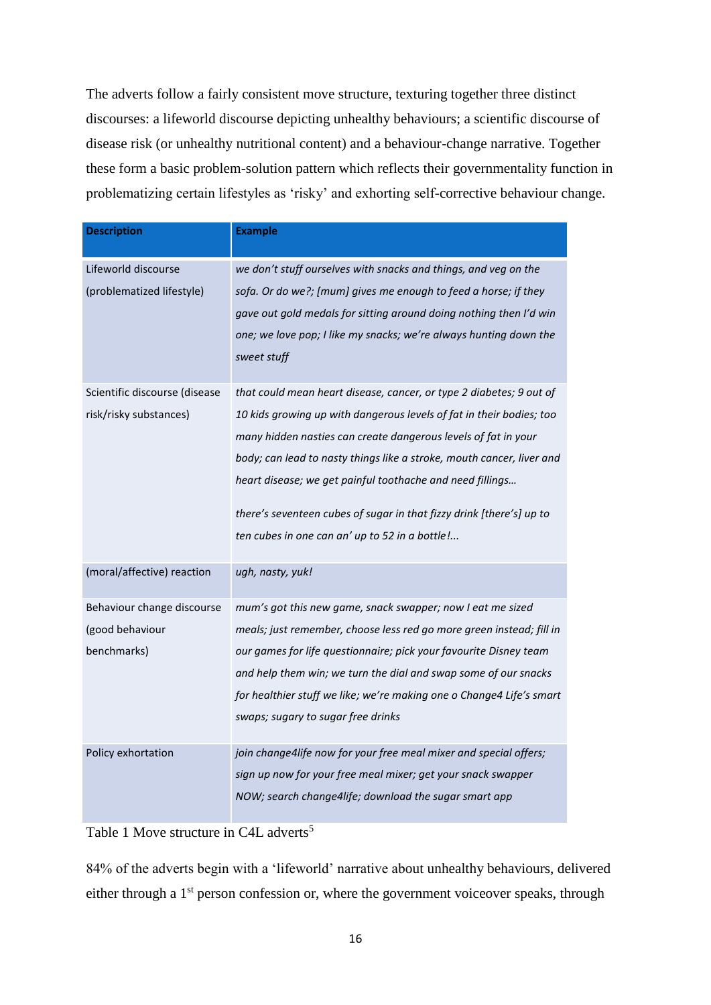The adverts follow a fairly consistent move structure, texturing together three distinct discourses: a lifeworld discourse depicting unhealthy behaviours; a scientific discourse of disease risk (or unhealthy nutritional content) and a behaviour-change narrative. Together these form a basic problem-solution pattern which reflects their governmentality function in problematizing certain lifestyles as 'risky' and exhorting self-corrective behaviour change.

| <b>Description</b>                                           | <b>Example</b>                                                                                                                                                                                                                                                                                                                                                                                                                                                                |
|--------------------------------------------------------------|-------------------------------------------------------------------------------------------------------------------------------------------------------------------------------------------------------------------------------------------------------------------------------------------------------------------------------------------------------------------------------------------------------------------------------------------------------------------------------|
| Lifeworld discourse<br>(problematized lifestyle)             | we don't stuff ourselves with snacks and things, and veg on the<br>sofa. Or do we?; [mum] gives me enough to feed a horse; if they<br>gave out gold medals for sitting around doing nothing then I'd win<br>one; we love pop; I like my snacks; we're always hunting down the<br>sweet stuff                                                                                                                                                                                  |
| Scientific discourse (disease<br>risk/risky substances)      | that could mean heart disease, cancer, or type 2 diabetes; 9 out of<br>10 kids growing up with dangerous levels of fat in their bodies; too<br>many hidden nasties can create dangerous levels of fat in your<br>body; can lead to nasty things like a stroke, mouth cancer, liver and<br>heart disease; we get painful toothache and need fillings<br>there's seventeen cubes of sugar in that fizzy drink [there's] up to<br>ten cubes in one can an' up to 52 in a bottle! |
| (moral/affective) reaction                                   | ugh, nasty, yuk!                                                                                                                                                                                                                                                                                                                                                                                                                                                              |
| Behaviour change discourse<br>(good behaviour<br>benchmarks) | mum's got this new game, snack swapper; now I eat me sized<br>meals; just remember, choose less red go more green instead; fill in<br>our games for life questionnaire; pick your favourite Disney team<br>and help them win; we turn the dial and swap some of our snacks<br>for healthier stuff we like; we're making one o Change4 Life's smart<br>swaps; sugary to sugar free drinks                                                                                      |
| Policy exhortation                                           | join change4life now for your free meal mixer and special offers;<br>sign up now for your free meal mixer; get your snack swapper<br>NOW; search change4life; download the sugar smart app                                                                                                                                                                                                                                                                                    |

Table 1 Move structure in C4L adverts<sup>5</sup>

84% of the adverts begin with a 'lifeworld' narrative about unhealthy behaviours, delivered either through a 1<sup>st</sup> person confession or, where the government voiceover speaks, through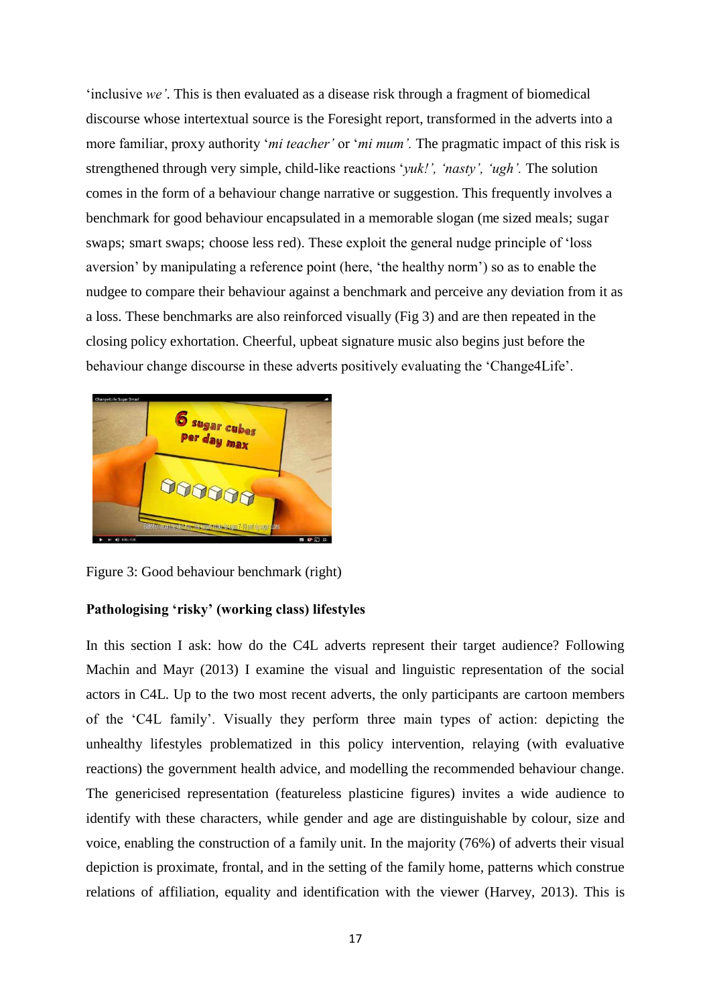'inclusive *we'*. This is then evaluated as a disease risk through a fragment of biomedical discourse whose intertextual source is the Foresight report, transformed in the adverts into a more familiar, proxy authority '*mi teacher'* or '*mi mum'.* The pragmatic impact of this risk is strengthened through very simple, child-like reactions '*yuk!', 'nasty', 'ugh'.* The solution comes in the form of a behaviour change narrative or suggestion. This frequently involves a benchmark for good behaviour encapsulated in a memorable slogan (me sized meals; sugar swaps; smart swaps; choose less red). These exploit the general nudge principle of 'loss aversion' by manipulating a reference point (here, 'the healthy norm') so as to enable the nudgee to compare their behaviour against a benchmark and perceive any deviation from it as a loss. These benchmarks are also reinforced visually (Fig 3) and are then repeated in the closing policy exhortation. Cheerful, upbeat signature music also begins just before the behaviour change discourse in these adverts positively evaluating the 'Change4Life'.



Figure 3: Good behaviour benchmark (right)

# **Pathologising 'risky' (working class) lifestyles**

In this section I ask: how do the C4L adverts represent their target audience? Following Machin and Mayr (2013) I examine the visual and linguistic representation of the social actors in C4L. Up to the two most recent adverts, the only participants are cartoon members of the 'C4L family'. Visually they perform three main types of action: depicting the unhealthy lifestyles problematized in this policy intervention, relaying (with evaluative reactions) the government health advice, and modelling the recommended behaviour change. The genericised representation (featureless plasticine figures) invites a wide audience to identify with these characters, while gender and age are distinguishable by colour, size and voice, enabling the construction of a family unit. In the majority (76%) of adverts their visual depiction is proximate, frontal, and in the setting of the family home, patterns which construe relations of affiliation, equality and identification with the viewer (Harvey, 2013). This is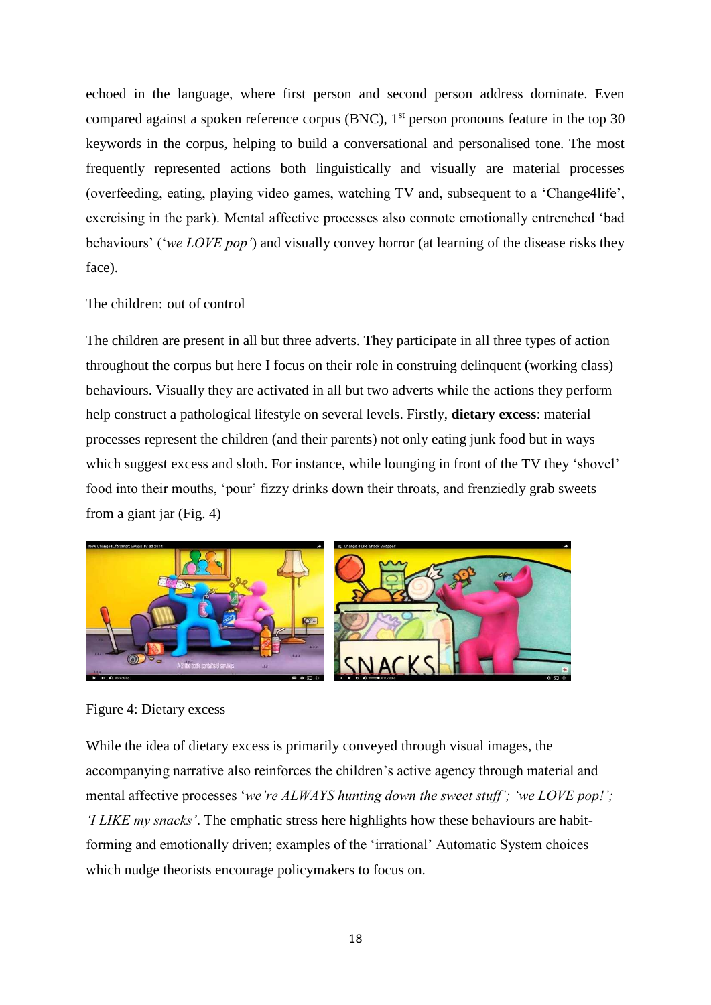echoed in the language, where first person and second person address dominate. Even compared against a spoken reference corpus (BNC),  $1<sup>st</sup>$  person pronouns feature in the top 30 keywords in the corpus, helping to build a conversational and personalised tone. The most frequently represented actions both linguistically and visually are material processes (overfeeding, eating, playing video games, watching TV and, subsequent to a 'Change4life', exercising in the park). Mental affective processes also connote emotionally entrenched 'bad behaviours' ('*we LOVE pop'*) and visually convey horror (at learning of the disease risks they face).

# The children: out of control

The children are present in all but three adverts. They participate in all three types of action throughout the corpus but here I focus on their role in construing delinquent (working class) behaviours. Visually they are activated in all but two adverts while the actions they perform help construct a pathological lifestyle on several levels. Firstly, **dietary excess**: material processes represent the children (and their parents) not only eating junk food but in ways which suggest excess and sloth. For instance, while lounging in front of the TV they 'shovel' food into their mouths, 'pour' fizzy drinks down their throats, and frenziedly grab sweets from a giant jar (Fig. 4)



# Figure 4: Dietary excess

While the idea of dietary excess is primarily conveyed through visual images, the accompanying narrative also reinforces the children's active agency through material and mental affective processes '*we're ALWAYS hunting down the sweet stuff'; 'we LOVE pop!'; 'I LIKE my snacks'*. The emphatic stress here highlights how these behaviours are habitforming and emotionally driven; examples of the 'irrational' Automatic System choices which nudge theorists encourage policymakers to focus on.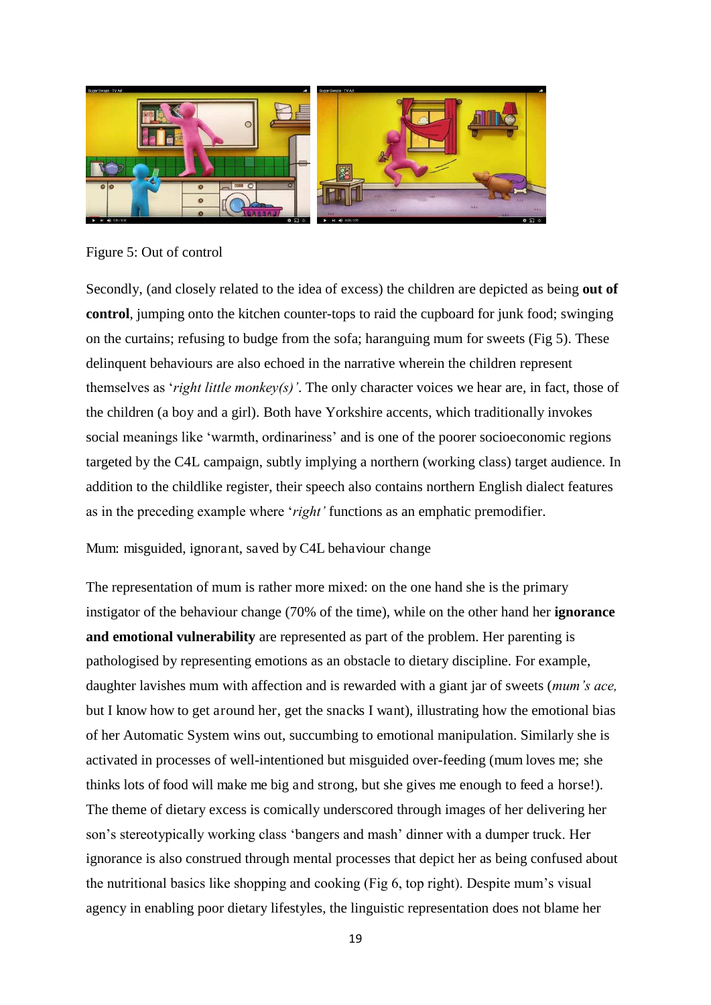

Figure 5: Out of control

Secondly, (and closely related to the idea of excess) the children are depicted as being **out of control**, jumping onto the kitchen counter-tops to raid the cupboard for junk food; swinging on the curtains; refusing to budge from the sofa; haranguing mum for sweets (Fig 5). These delinquent behaviours are also echoed in the narrative wherein the children represent themselves as '*right little monkey(s)'*. The only character voices we hear are, in fact, those of the children (a boy and a girl). Both have Yorkshire accents, which traditionally invokes social meanings like 'warmth, ordinariness' and is one of the poorer socioeconomic regions targeted by the C4L campaign, subtly implying a northern (working class) target audience. In addition to the childlike register, their speech also contains northern English dialect features as in the preceding example where '*right'* functions as an emphatic premodifier.

Mum: misguided, ignorant, saved by C4L behaviour change

The representation of mum is rather more mixed: on the one hand she is the primary instigator of the behaviour change (70% of the time), while on the other hand her **ignorance and emotional vulnerability** are represented as part of the problem. Her parenting is pathologised by representing emotions as an obstacle to dietary discipline. For example, daughter lavishes mum with affection and is rewarded with a giant jar of sweets (*mum's ace,*  but I know how to get around her, get the snacks I want), illustrating how the emotional bias of her Automatic System wins out, succumbing to emotional manipulation. Similarly she is activated in processes of well-intentioned but misguided over-feeding (mum loves me; she thinks lots of food will make me big and strong, but she gives me enough to feed a horse!). The theme of dietary excess is comically underscored through images of her delivering her son's stereotypically working class 'bangers and mash' dinner with a dumper truck. Her ignorance is also construed through mental processes that depict her as being confused about the nutritional basics like shopping and cooking (Fig 6, top right). Despite mum's visual agency in enabling poor dietary lifestyles, the linguistic representation does not blame her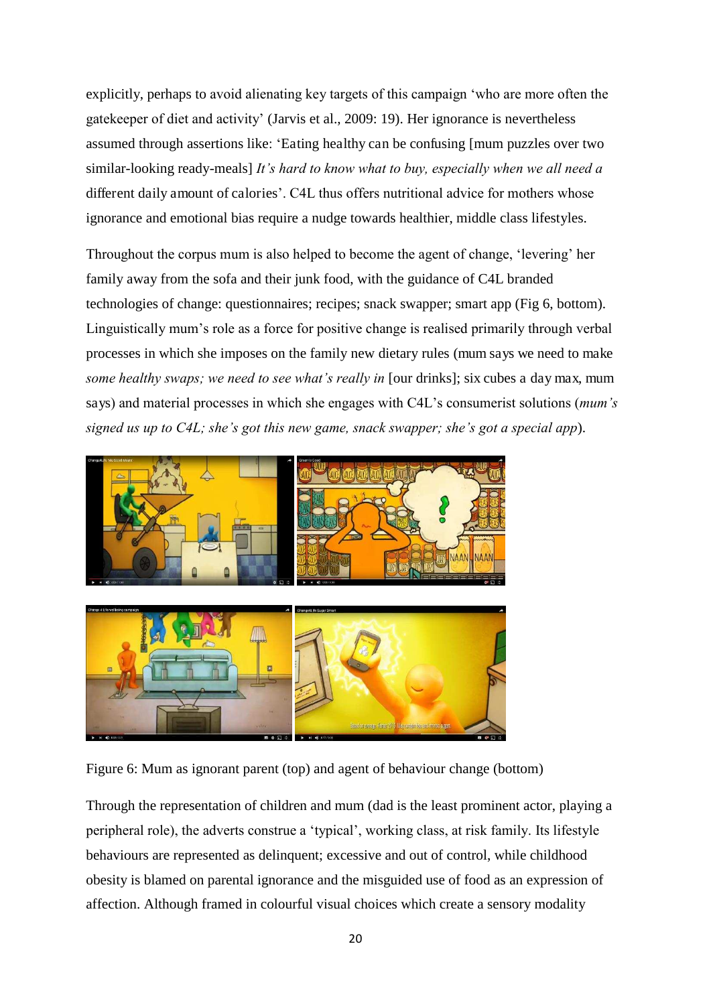explicitly, perhaps to avoid alienating key targets of this campaign 'who are more often the gatekeeper of diet and activity' (Jarvis et al., 2009: 19). Her ignorance is nevertheless assumed through assertions like: 'Eating healthy can be confusing [mum puzzles over two similar-looking ready-meals] *It's hard to know what to buy, especially when we all need a*  different daily amount of calories'. C4L thus offers nutritional advice for mothers whose ignorance and emotional bias require a nudge towards healthier, middle class lifestyles.

Throughout the corpus mum is also helped to become the agent of change, 'levering' her family away from the sofa and their junk food, with the guidance of C4L branded technologies of change: questionnaires; recipes; snack swapper; smart app (Fig 6, bottom). Linguistically mum's role as a force for positive change is realised primarily through verbal processes in which she imposes on the family new dietary rules (mum says we need to make *some healthy swaps; we need to see what's really in* [our drinks]; six cubes a day max, mum says) and material processes in which she engages with C4L's consumerist solutions (*mum's signed us up to C4L; she's got this new game, snack swapper; she's got a special app*).



Figure 6: Mum as ignorant parent (top) and agent of behaviour change (bottom)

Through the representation of children and mum (dad is the least prominent actor, playing a peripheral role), the adverts construe a 'typical', working class, at risk family. Its lifestyle behaviours are represented as delinquent; excessive and out of control, while childhood obesity is blamed on parental ignorance and the misguided use of food as an expression of affection. Although framed in colourful visual choices which create a sensory modality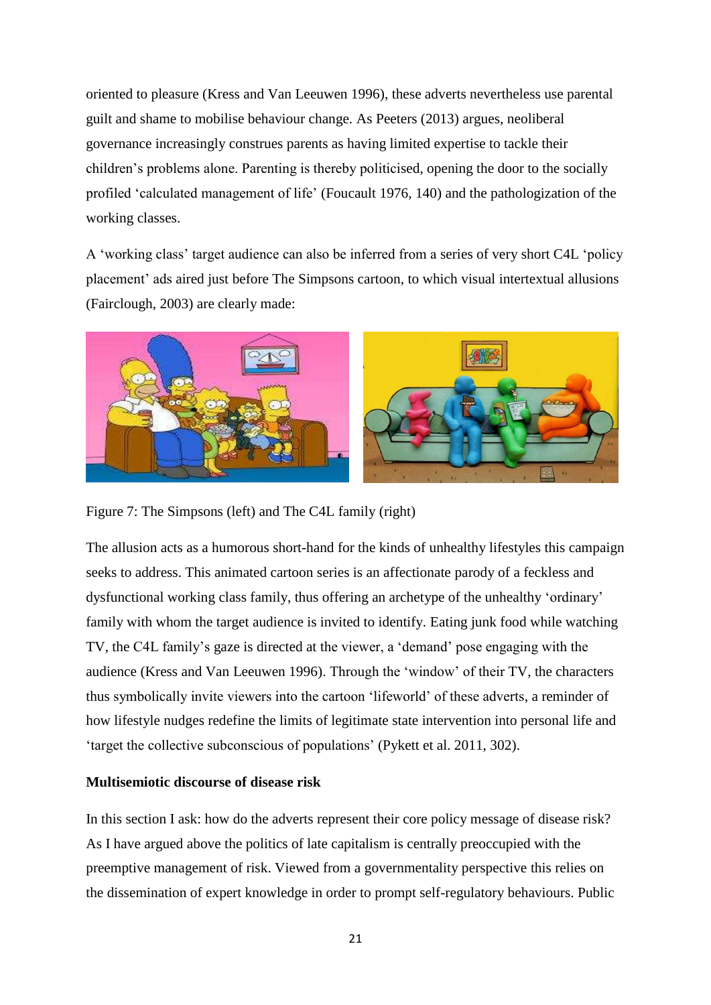oriented to pleasure (Kress and Van Leeuwen 1996), these adverts nevertheless use parental guilt and shame to mobilise behaviour change. As Peeters (2013) argues, neoliberal governance increasingly construes parents as having limited expertise to tackle their children's problems alone. Parenting is thereby politicised, opening the door to the socially profiled 'calculated management of life' (Foucault 1976, 140) and the pathologization of the working classes.

A 'working class' target audience can also be inferred from a series of very short C4L 'policy placement' ads aired just before The Simpsons cartoon, to which visual intertextual allusions (Fairclough, 2003) are clearly made:



Figure 7: The Simpsons (left) and The C4L family (right)

The allusion acts as a humorous short-hand for the kinds of unhealthy lifestyles this campaign seeks to address. This animated cartoon series is an affectionate parody of a feckless and dysfunctional working class family, thus offering an archetype of the unhealthy 'ordinary' family with whom the target audience is invited to identify. Eating junk food while watching TV, the C4L family's gaze is directed at the viewer, a 'demand' pose engaging with the audience (Kress and Van Leeuwen 1996). Through the 'window' of their TV, the characters thus symbolically invite viewers into the cartoon 'lifeworld' of these adverts, a reminder of how lifestyle nudges redefine the limits of legitimate state intervention into personal life and 'target the collective subconscious of populations' (Pykett et al. 2011, 302).

# **Multisemiotic discourse of disease risk**

In this section I ask: how do the adverts represent their core policy message of disease risk? As I have argued above the politics of late capitalism is centrally preoccupied with the preemptive management of risk. Viewed from a governmentality perspective this relies on the dissemination of expert knowledge in order to prompt self-regulatory behaviours. Public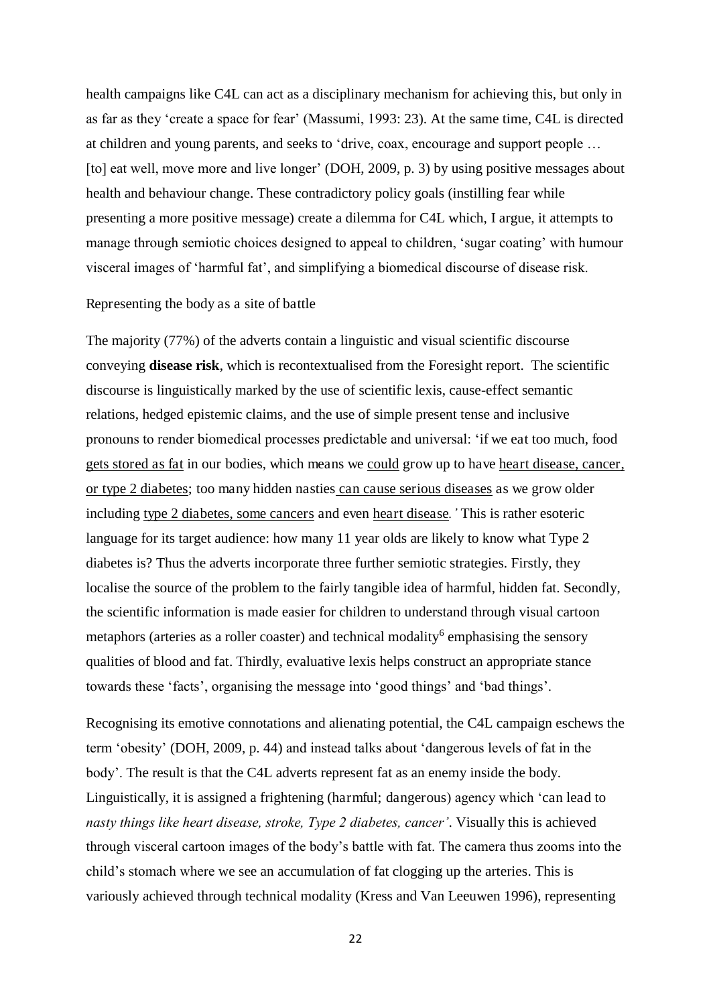health campaigns like C4L can act as a disciplinary mechanism for achieving this, but only in as far as they 'create a space for fear' (Massumi, 1993: 23). At the same time, C4L is directed at children and young parents, and seeks to 'drive, coax, encourage and support people … [to] eat well, move more and live longer' (DOH, 2009, p. 3) by using positive messages about health and behaviour change. These contradictory policy goals (instilling fear while presenting a more positive message) create a dilemma for C4L which, I argue, it attempts to manage through semiotic choices designed to appeal to children, 'sugar coating' with humour visceral images of 'harmful fat', and simplifying a biomedical discourse of disease risk.

#### Representing the body as a site of battle

The majority (77%) of the adverts contain a linguistic and visual scientific discourse conveying **disease risk**, which is recontextualised from the Foresight report. The scientific discourse is linguistically marked by the use of scientific lexis, cause-effect semantic relations, hedged epistemic claims, and the use of simple present tense and inclusive pronouns to render biomedical processes predictable and universal: 'if we eat too much, food gets stored as fat in our bodies, which means we could grow up to have heart disease, cancer, or type 2 diabetes; too many hidden nasties can cause serious diseases as we grow older including type 2 diabetes, some cancers and even heart disease*.'* This is rather esoteric language for its target audience: how many 11 year olds are likely to know what Type 2 diabetes is? Thus the adverts incorporate three further semiotic strategies. Firstly, they localise the source of the problem to the fairly tangible idea of harmful, hidden fat. Secondly, the scientific information is made easier for children to understand through visual cartoon metaphors (arteries as a roller coaster) and technical modality<sup>6</sup> emphasising the sensory qualities of blood and fat. Thirdly, evaluative lexis helps construct an appropriate stance towards these 'facts', organising the message into 'good things' and 'bad things'.

Recognising its emotive connotations and alienating potential, the C4L campaign eschews the term 'obesity' (DOH, 2009, p. 44) and instead talks about 'dangerous levels of fat in the body'. The result is that the C4L adverts represent fat as an enemy inside the body. Linguistically, it is assigned a frightening (harmful; dangerous) agency which 'can lead to *nasty things like heart disease, stroke, Type 2 diabetes, cancer'*. Visually this is achieved through visceral cartoon images of the body's battle with fat. The camera thus zooms into the child's stomach where we see an accumulation of fat clogging up the arteries. This is variously achieved through technical modality (Kress and Van Leeuwen 1996), representing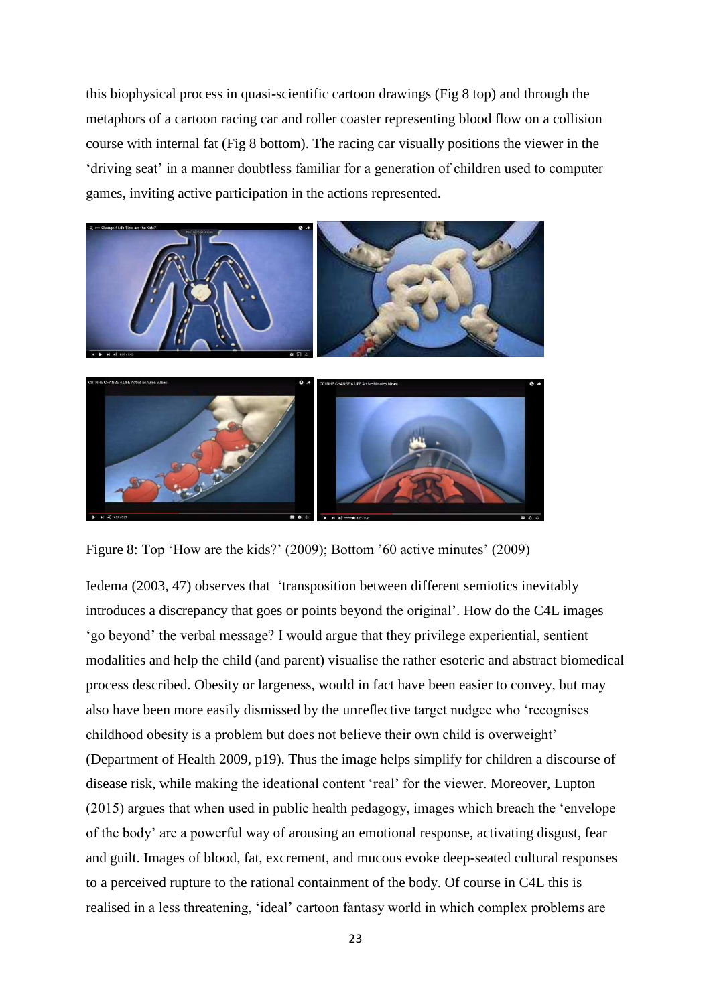this biophysical process in quasi-scientific cartoon drawings (Fig 8 top) and through the metaphors of a cartoon racing car and roller coaster representing blood flow on a collision course with internal fat (Fig 8 bottom). The racing car visually positions the viewer in the 'driving seat' in a manner doubtless familiar for a generation of children used to computer games, inviting active participation in the actions represented.



Figure 8: Top 'How are the kids?' (2009); Bottom '60 active minutes' (2009)

Iedema (2003, 47) observes that 'transposition between different semiotics inevitably introduces a discrepancy that goes or points beyond the original'. How do the C4L images 'go beyond' the verbal message? I would argue that they privilege experiential, sentient modalities and help the child (and parent) visualise the rather esoteric and abstract biomedical process described. Obesity or largeness, would in fact have been easier to convey, but may also have been more easily dismissed by the unreflective target nudgee who 'recognises childhood obesity is a problem but does not believe their own child is overweight' (Department of Health 2009, p19). Thus the image helps simplify for children a discourse of disease risk, while making the ideational content 'real' for the viewer. Moreover, Lupton (2015) argues that when used in public health pedagogy, images which breach the 'envelope of the body' are a powerful way of arousing an emotional response, activating disgust, fear and guilt. Images of blood, fat, excrement, and mucous evoke deep-seated cultural responses to a perceived rupture to the rational containment of the body. Of course in C4L this is realised in a less threatening, 'ideal' cartoon fantasy world in which complex problems are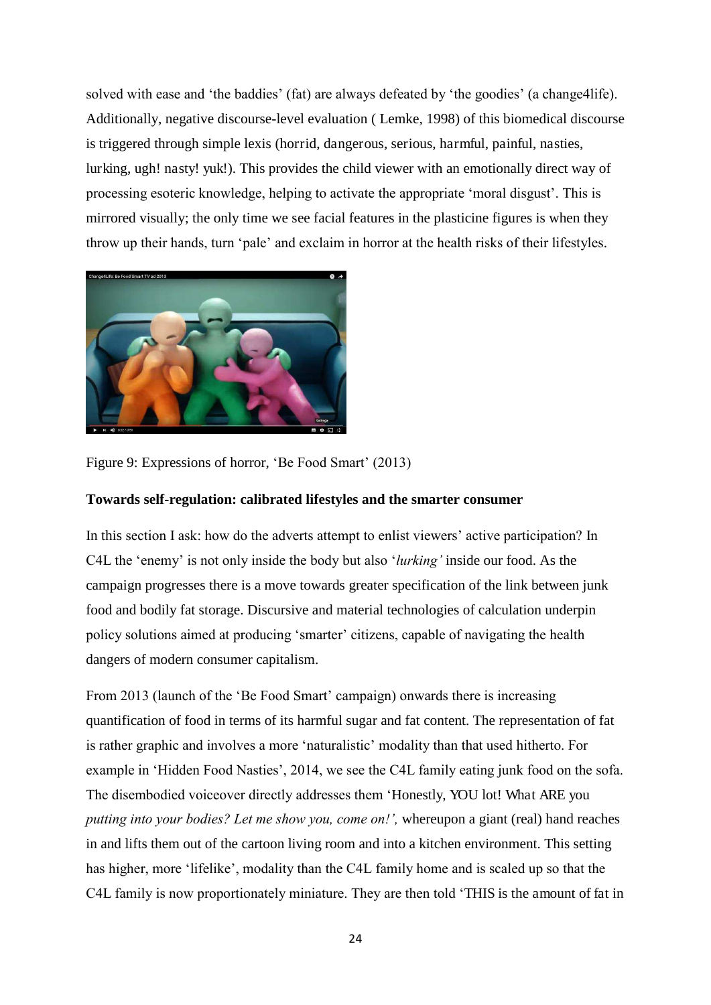solved with ease and 'the baddies' (fat) are always defeated by 'the goodies' (a change4life). Additionally, negative discourse-level evaluation ( Lemke, 1998) of this biomedical discourse is triggered through simple lexis (horrid, dangerous, serious, harmful, painful, nasties, lurking, ugh! nasty! yuk!). This provides the child viewer with an emotionally direct way of processing esoteric knowledge, helping to activate the appropriate 'moral disgust'. This is mirrored visually; the only time we see facial features in the plasticine figures is when they throw up their hands, turn 'pale' and exclaim in horror at the health risks of their lifestyles.



Figure 9: Expressions of horror, 'Be Food Smart' (2013)

# **Towards self-regulation: calibrated lifestyles and the smarter consumer**

In this section I ask: how do the adverts attempt to enlist viewers' active participation? In C4L the 'enemy' is not only inside the body but also '*lurking'* inside our food. As the campaign progresses there is a move towards greater specification of the link between junk food and bodily fat storage. Discursive and material technologies of calculation underpin policy solutions aimed at producing 'smarter' citizens, capable of navigating the health dangers of modern consumer capitalism.

From 2013 (launch of the 'Be Food Smart' campaign) onwards there is increasing quantification of food in terms of its harmful sugar and fat content. The representation of fat is rather graphic and involves a more 'naturalistic' modality than that used hitherto. For example in 'Hidden Food Nasties', 2014, we see the C4L family eating junk food on the sofa. The disembodied voiceover directly addresses them 'Honestly, YOU lot! What ARE you *putting into your bodies? Let me show you, come on!',* whereupon a giant (real) hand reaches in and lifts them out of the cartoon living room and into a kitchen environment. This setting has higher, more 'lifelike', modality than the C4L family home and is scaled up so that the C4L family is now proportionately miniature. They are then told 'THIS is the amount of fat in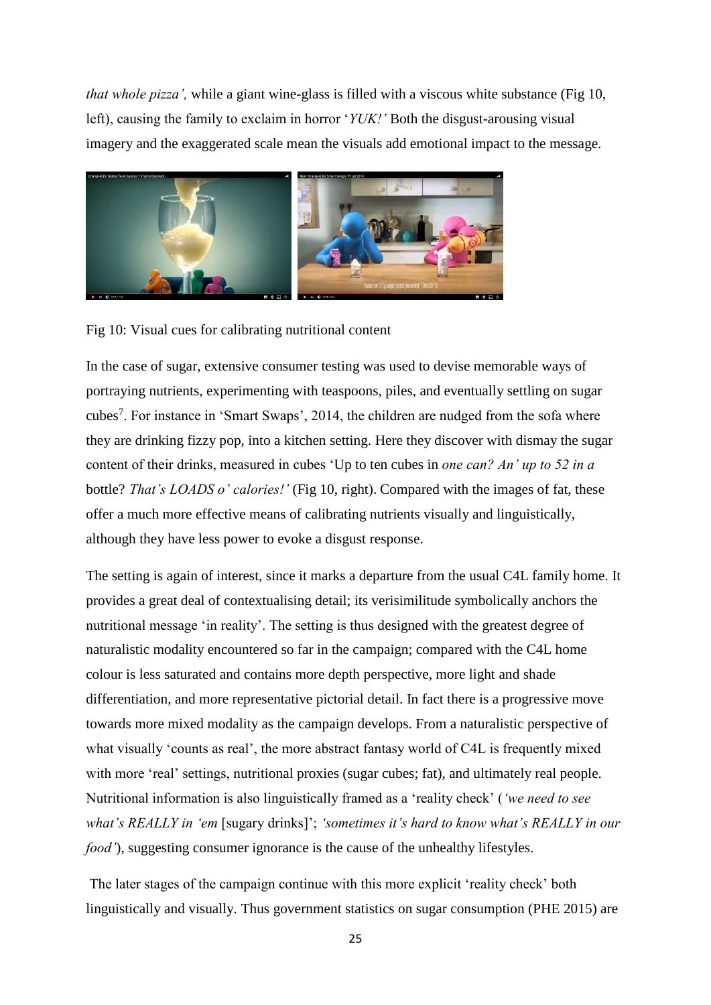*that whole pizza',* while a giant wine-glass is filled with a viscous white substance (Fig 10, left), causing the family to exclaim in horror '*YUK!'* Both the disgust-arousing visual imagery and the exaggerated scale mean the visuals add emotional impact to the message.



Fig 10: Visual cues for calibrating nutritional content

In the case of sugar, extensive consumer testing was used to devise memorable ways of portraying nutrients, experimenting with teaspoons, piles, and eventually settling on sugar cubes<sup>7</sup> . For instance in 'Smart Swaps', 2014, the children are nudged from the sofa where they are drinking fizzy pop, into a kitchen setting. Here they discover with dismay the sugar content of their drinks, measured in cubes 'Up to ten cubes in *one can? An' up to 52 in a*  bottle? *That's LOADS o' calories!'* (Fig 10, right). Compared with the images of fat, these offer a much more effective means of calibrating nutrients visually and linguistically, although they have less power to evoke a disgust response.

The setting is again of interest, since it marks a departure from the usual C4L family home. It provides a great deal of contextualising detail; its verisimilitude symbolically anchors the nutritional message 'in reality'. The setting is thus designed with the greatest degree of naturalistic modality encountered so far in the campaign; compared with the C4L home colour is less saturated and contains more depth perspective, more light and shade differentiation, and more representative pictorial detail. In fact there is a progressive move towards more mixed modality as the campaign develops. From a naturalistic perspective of what visually 'counts as real', the more abstract fantasy world of C4L is frequently mixed with more 'real' settings, nutritional proxies (sugar cubes; fat), and ultimately real people. Nutritional information is also linguistically framed as a 'reality check' (*'we need to see what's REALLY in 'em* [sugary drinks]'; *'sometimes it's hard to know what's REALLY in our food'*), suggesting consumer ignorance is the cause of the unhealthy lifestyles.

The later stages of the campaign continue with this more explicit 'reality check' both linguistically and visually. Thus government statistics on sugar consumption (PHE 2015) are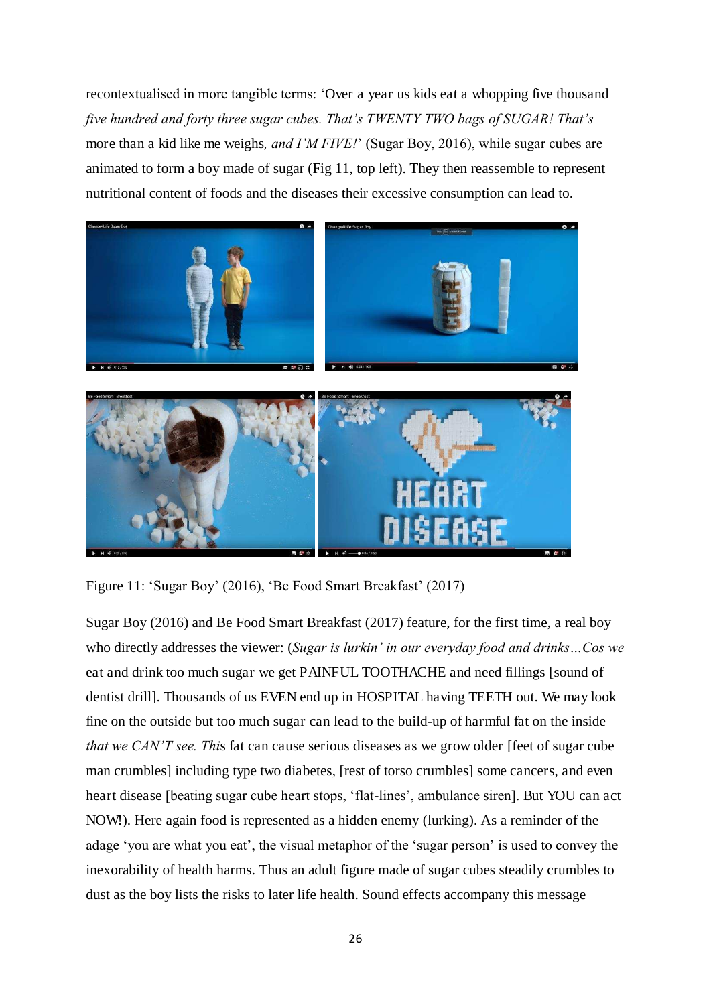recontextualised in more tangible terms: 'Over a year us kids eat a whopping five thousand *five hundred and forty three sugar cubes. That's TWENTY TWO bags of SUGAR! That's*  more than a kid like me weighs*, and I'M FIVE!*' (Sugar Boy, 2016), while sugar cubes are animated to form a boy made of sugar (Fig 11, top left). They then reassemble to represent nutritional content of foods and the diseases their excessive consumption can lead to.



Figure 11: 'Sugar Boy' (2016), 'Be Food Smart Breakfast' (2017)

Sugar Boy (2016) and Be Food Smart Breakfast (2017) feature, for the first time, a real boy who directly addresses the viewer: (*Sugar is lurkin' in our everyday food and drinks…Cos we*  eat and drink too much sugar we get PAINFUL TOOTHACHE and need fillings [sound of dentist drill]. Thousands of us EVEN end up in HOSPITAL having TEETH out. We may look fine on the outside but too much sugar can lead to the build-up of harmful fat on the inside *that we CAN'T see. This fat can cause serious diseases as we grow older [feet of sugar cube* man crumbles] including type two diabetes, [rest of torso crumbles] some cancers, and even heart disease [beating sugar cube heart stops, 'flat-lines', ambulance siren]. But YOU can act NOW!). Here again food is represented as a hidden enemy (lurking). As a reminder of the adage 'you are what you eat', the visual metaphor of the 'sugar person' is used to convey the inexorability of health harms. Thus an adult figure made of sugar cubes steadily crumbles to dust as the boy lists the risks to later life health. Sound effects accompany this message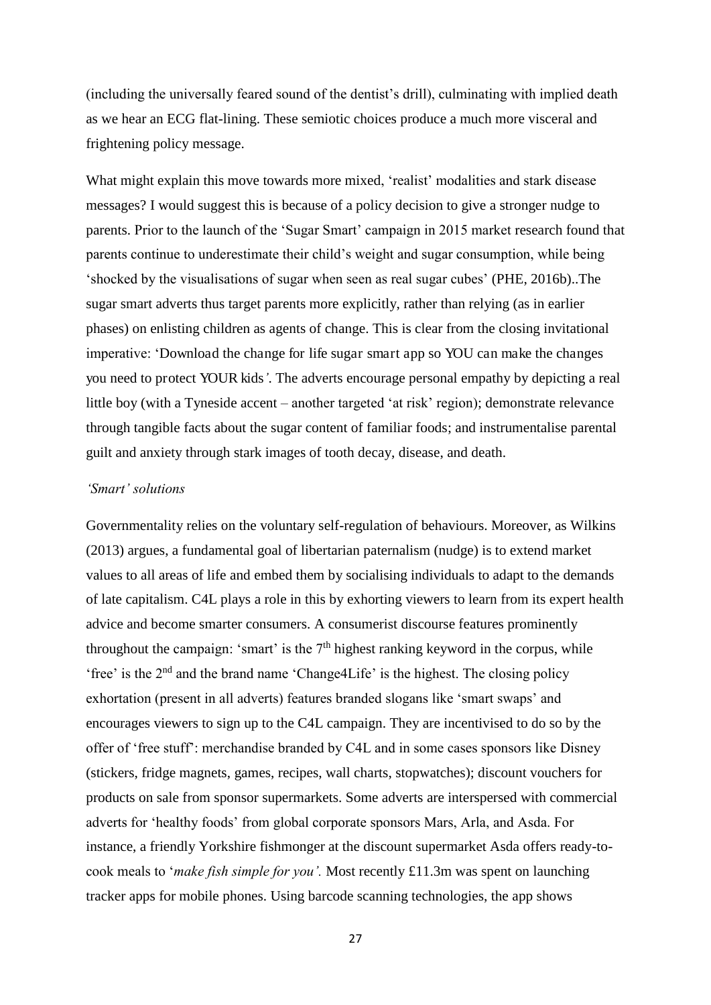(including the universally feared sound of the dentist's drill), culminating with implied death as we hear an ECG flat-lining. These semiotic choices produce a much more visceral and frightening policy message.

What might explain this move towards more mixed, 'realist' modalities and stark disease messages? I would suggest this is because of a policy decision to give a stronger nudge to parents. Prior to the launch of the 'Sugar Smart' campaign in 2015 market research found that parents continue to underestimate their child's weight and sugar consumption, while being 'shocked by the visualisations of sugar when seen as real sugar cubes' (PHE, 2016b)..The sugar smart adverts thus target parents more explicitly, rather than relying (as in earlier phases) on enlisting children as agents of change. This is clear from the closing invitational imperative: 'Download the change for life sugar smart app so YOU can make the changes you need to protect YOUR kids*'*. The adverts encourage personal empathy by depicting a real little boy (with a Tyneside accent – another targeted 'at risk' region); demonstrate relevance through tangible facts about the sugar content of familiar foods; and instrumentalise parental guilt and anxiety through stark images of tooth decay, disease, and death.

## *'Smart' solutions*

Governmentality relies on the voluntary self-regulation of behaviours. Moreover, as Wilkins (2013) argues, a fundamental goal of libertarian paternalism (nudge) is to extend market values to all areas of life and embed them by socialising individuals to adapt to the demands of late capitalism. C4L plays a role in this by exhorting viewers to learn from its expert health advice and become smarter consumers. A consumerist discourse features prominently throughout the campaign: 'smart' is the  $7<sup>th</sup>$  highest ranking keyword in the corpus, while 'free' is the 2nd and the brand name 'Change4Life' is the highest. The closing policy exhortation (present in all adverts) features branded slogans like 'smart swaps' and encourages viewers to sign up to the C4L campaign. They are incentivised to do so by the offer of 'free stuff': merchandise branded by C4L and in some cases sponsors like Disney (stickers, fridge magnets, games, recipes, wall charts, stopwatches); discount vouchers for products on sale from sponsor supermarkets. Some adverts are interspersed with commercial adverts for 'healthy foods' from global corporate sponsors Mars, Arla, and Asda. For instance, a friendly Yorkshire fishmonger at the discount supermarket Asda offers ready-tocook meals to '*make fish simple for you'.* Most recently £11.3m was spent on launching tracker apps for mobile phones. Using barcode scanning technologies, the app shows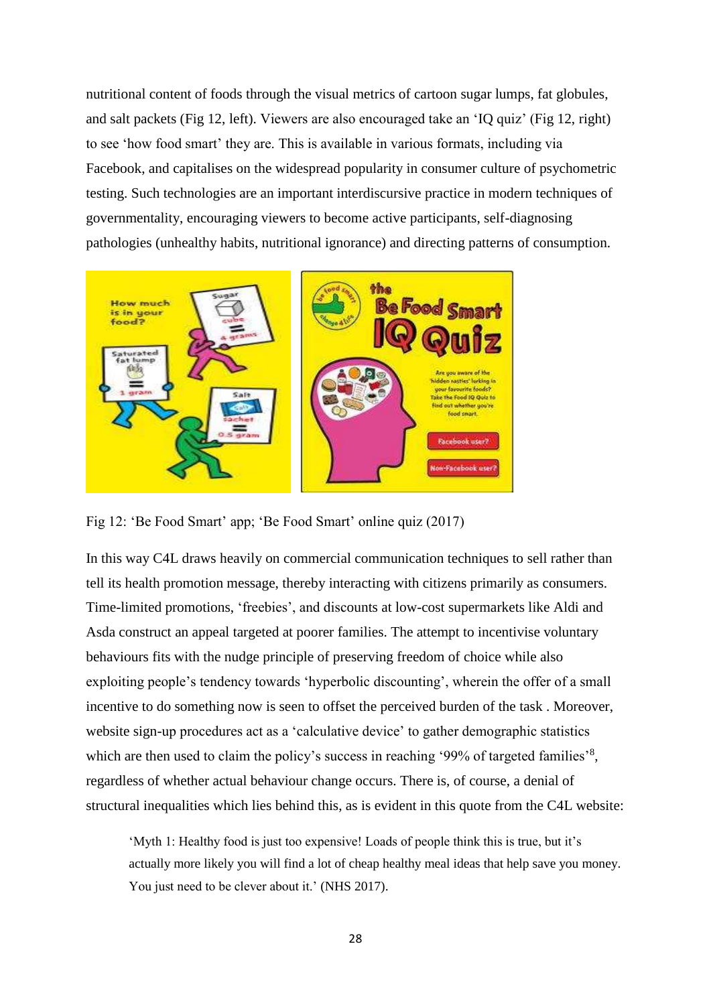nutritional content of foods through the visual metrics of cartoon sugar lumps, fat globules, and salt packets (Fig 12, left). Viewers are also encouraged take an 'IQ quiz' (Fig 12, right) to see 'how food smart' they are. This is available in various formats, including via Facebook, and capitalises on the widespread popularity in consumer culture of psychometric testing. Such technologies are an important interdiscursive practice in modern techniques of governmentality, encouraging viewers to become active participants, self-diagnosing pathologies (unhealthy habits, nutritional ignorance) and directing patterns of consumption.



Fig 12: 'Be Food Smart' app; 'Be Food Smart' online quiz (2017)

In this way C4L draws heavily on commercial communication techniques to sell rather than tell its health promotion message, thereby interacting with citizens primarily as consumers. Time-limited promotions, 'freebies', and discounts at low-cost supermarkets like Aldi and Asda construct an appeal targeted at poorer families. The attempt to incentivise voluntary behaviours fits with the nudge principle of preserving freedom of choice while also exploiting people's tendency towards 'hyperbolic discounting', wherein the offer of a small incentive to do something now is seen to offset the perceived burden of the task . Moreover, website sign-up procedures act as a 'calculative device' to gather demographic statistics which are then used to claim the policy's success in reaching '99% of targeted families'<sup>8</sup>, regardless of whether actual behaviour change occurs. There is, of course, a denial of structural inequalities which lies behind this, as is evident in this quote from the C4L website:

'Myth 1: Healthy food is just too expensive! Loads of people think this is true, but it's actually more likely you will find a lot of cheap healthy meal ideas that help save you money. You just need to be clever about it.' (NHS 2017).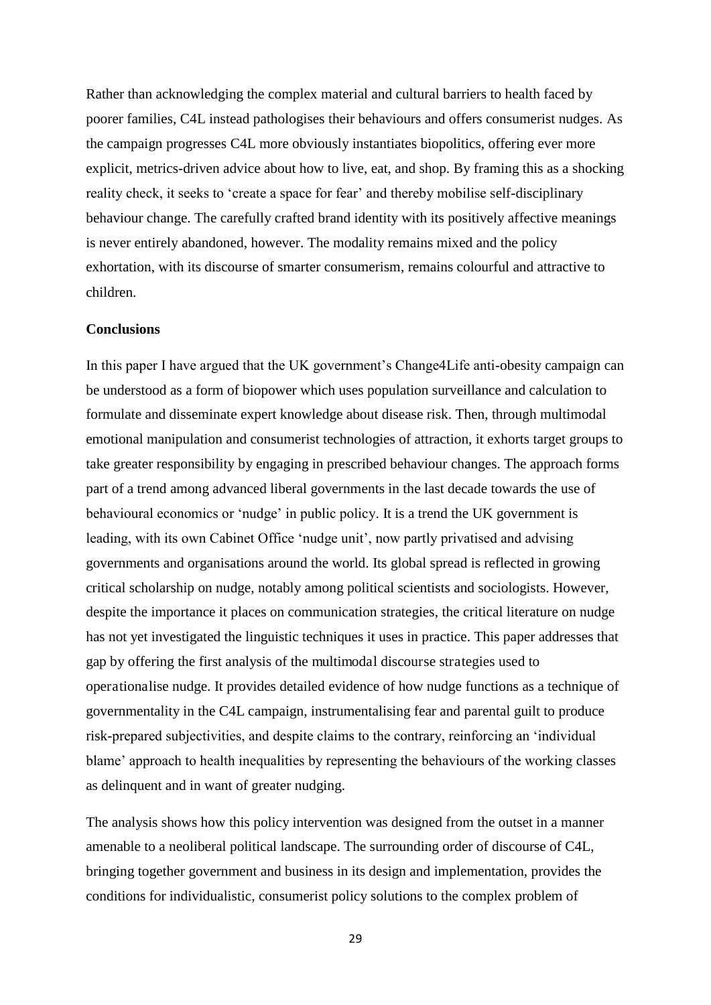Rather than acknowledging the complex material and cultural barriers to health faced by poorer families, C4L instead pathologises their behaviours and offers consumerist nudges. As the campaign progresses C4L more obviously instantiates biopolitics, offering ever more explicit, metrics-driven advice about how to live, eat, and shop. By framing this as a shocking reality check, it seeks to 'create a space for fear' and thereby mobilise self-disciplinary behaviour change. The carefully crafted brand identity with its positively affective meanings is never entirely abandoned, however. The modality remains mixed and the policy exhortation, with its discourse of smarter consumerism, remains colourful and attractive to children.

### **Conclusions**

In this paper I have argued that the UK government's Change4Life anti-obesity campaign can be understood as a form of biopower which uses population surveillance and calculation to formulate and disseminate expert knowledge about disease risk. Then, through multimodal emotional manipulation and consumerist technologies of attraction, it exhorts target groups to take greater responsibility by engaging in prescribed behaviour changes. The approach forms part of a trend among advanced liberal governments in the last decade towards the use of behavioural economics or 'nudge' in public policy. It is a trend the UK government is leading, with its own Cabinet Office 'nudge unit', now partly privatised and advising governments and organisations around the world. Its global spread is reflected in growing critical scholarship on nudge, notably among political scientists and sociologists. However, despite the importance it places on communication strategies, the critical literature on nudge has not yet investigated the linguistic techniques it uses in practice. This paper addresses that gap by offering the first analysis of the multimodal discourse strategies used to operationalise nudge. It provides detailed evidence of how nudge functions as a technique of governmentality in the C4L campaign, instrumentalising fear and parental guilt to produce risk-prepared subjectivities, and despite claims to the contrary, reinforcing an 'individual blame' approach to health inequalities by representing the behaviours of the working classes as delinquent and in want of greater nudging.

The analysis shows how this policy intervention was designed from the outset in a manner amenable to a neoliberal political landscape. The surrounding order of discourse of C4L, bringing together government and business in its design and implementation, provides the conditions for individualistic, consumerist policy solutions to the complex problem of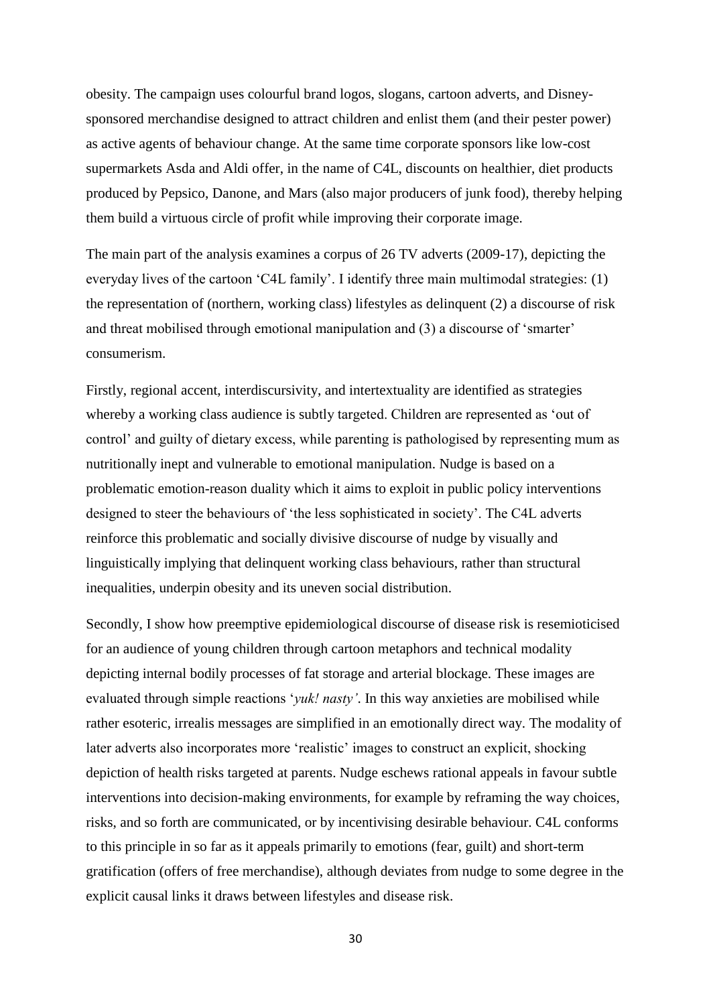obesity. The campaign uses colourful brand logos, slogans, cartoon adverts, and Disneysponsored merchandise designed to attract children and enlist them (and their pester power) as active agents of behaviour change. At the same time corporate sponsors like low-cost supermarkets Asda and Aldi offer, in the name of C4L, discounts on healthier, diet products produced by Pepsico, Danone, and Mars (also major producers of junk food), thereby helping them build a virtuous circle of profit while improving their corporate image.

The main part of the analysis examines a corpus of 26 TV adverts (2009-17), depicting the everyday lives of the cartoon 'C4L family'. I identify three main multimodal strategies: (1) the representation of (northern, working class) lifestyles as delinquent (2) a discourse of risk and threat mobilised through emotional manipulation and (3) a discourse of 'smarter' consumerism.

Firstly, regional accent, interdiscursivity, and intertextuality are identified as strategies whereby a working class audience is subtly targeted. Children are represented as 'out of control' and guilty of dietary excess, while parenting is pathologised by representing mum as nutritionally inept and vulnerable to emotional manipulation. Nudge is based on a problematic emotion-reason duality which it aims to exploit in public policy interventions designed to steer the behaviours of 'the less sophisticated in society'. The C4L adverts reinforce this problematic and socially divisive discourse of nudge by visually and linguistically implying that delinquent working class behaviours, rather than structural inequalities, underpin obesity and its uneven social distribution.

Secondly, I show how preemptive epidemiological discourse of disease risk is resemioticised for an audience of young children through cartoon metaphors and technical modality depicting internal bodily processes of fat storage and arterial blockage. These images are evaluated through simple reactions '*yuk! nasty'*. In this way anxieties are mobilised while rather esoteric, irrealis messages are simplified in an emotionally direct way. The modality of later adverts also incorporates more 'realistic' images to construct an explicit, shocking depiction of health risks targeted at parents. Nudge eschews rational appeals in favour subtle interventions into decision-making environments, for example by reframing the way choices, risks, and so forth are communicated, or by incentivising desirable behaviour. C4L conforms to this principle in so far as it appeals primarily to emotions (fear, guilt) and short-term gratification (offers of free merchandise), although deviates from nudge to some degree in the explicit causal links it draws between lifestyles and disease risk.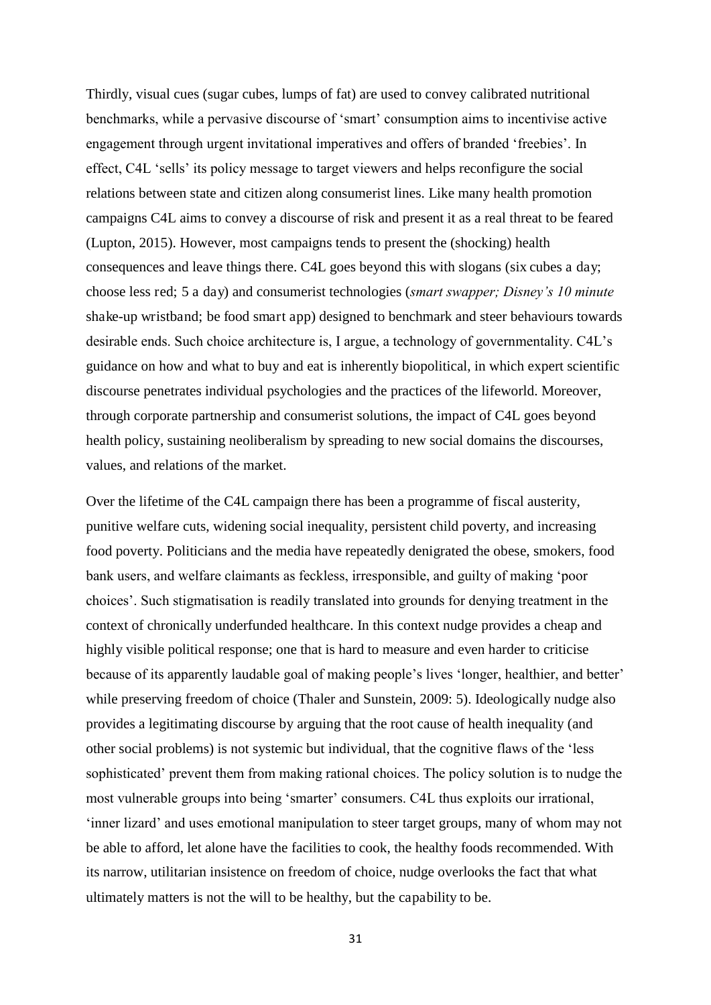Thirdly, visual cues (sugar cubes, lumps of fat) are used to convey calibrated nutritional benchmarks, while a pervasive discourse of 'smart' consumption aims to incentivise active engagement through urgent invitational imperatives and offers of branded 'freebies'. In effect, C4L 'sells' its policy message to target viewers and helps reconfigure the social relations between state and citizen along consumerist lines. Like many health promotion campaigns C4L aims to convey a discourse of risk and present it as a real threat to be feared (Lupton, 2015). However, most campaigns tends to present the (shocking) health consequences and leave things there. C4L goes beyond this with slogans (six cubes a day; choose less red; 5 a day) and consumerist technologies (*smart swapper; Disney's 10 minute*  shake-up wristband; be food smart app) designed to benchmark and steer behaviours towards desirable ends. Such choice architecture is, I argue, a technology of governmentality. C4L's guidance on how and what to buy and eat is inherently biopolitical, in which expert scientific discourse penetrates individual psychologies and the practices of the lifeworld. Moreover, through corporate partnership and consumerist solutions, the impact of C4L goes beyond health policy, sustaining neoliberalism by spreading to new social domains the discourses, values, and relations of the market.

Over the lifetime of the C4L campaign there has been a programme of fiscal austerity, punitive welfare cuts, widening social inequality, persistent child poverty, and increasing food poverty. Politicians and the media have repeatedly denigrated the obese, smokers, food bank users, and welfare claimants as feckless, irresponsible, and guilty of making 'poor choices'. Such stigmatisation is readily translated into grounds for denying treatment in the context of chronically underfunded healthcare. In this context nudge provides a cheap and highly visible political response; one that is hard to measure and even harder to criticise because of its apparently laudable goal of making people's lives 'longer, healthier, and better' while preserving freedom of choice (Thaler and Sunstein, 2009: 5). Ideologically nudge also provides a legitimating discourse by arguing that the root cause of health inequality (and other social problems) is not systemic but individual, that the cognitive flaws of the 'less sophisticated' prevent them from making rational choices. The policy solution is to nudge the most vulnerable groups into being 'smarter' consumers. C4L thus exploits our irrational, 'inner lizard' and uses emotional manipulation to steer target groups, many of whom may not be able to afford, let alone have the facilities to cook, the healthy foods recommended. With its narrow, utilitarian insistence on freedom of choice, nudge overlooks the fact that what ultimately matters is not the will to be healthy, but the capability to be.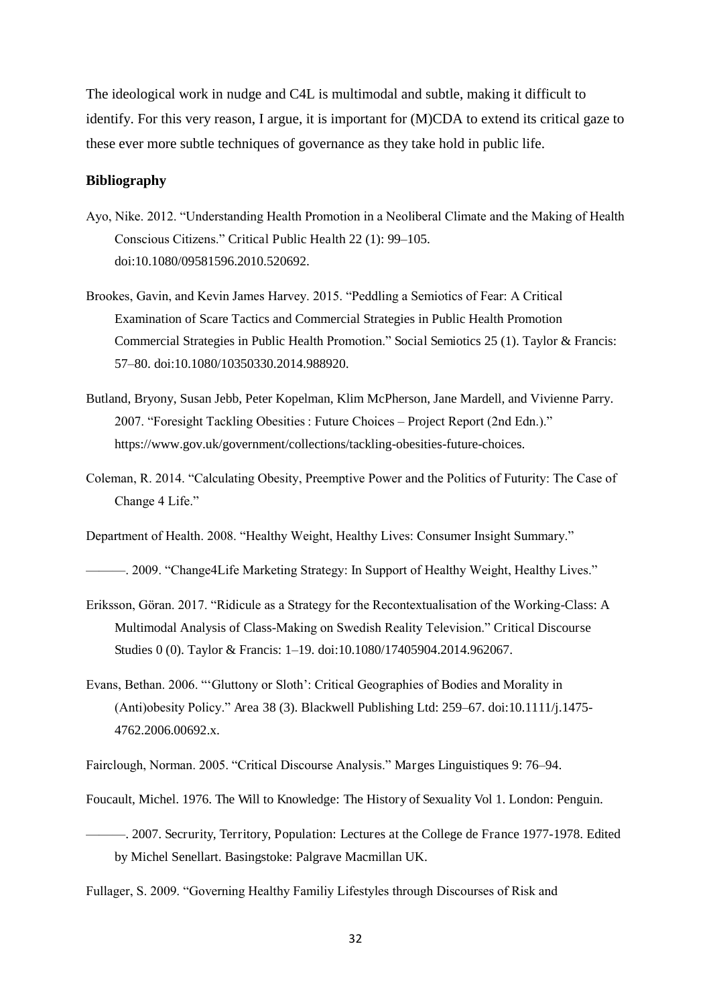The ideological work in nudge and C4L is multimodal and subtle, making it difficult to identify. For this very reason, I argue, it is important for (M)CDA to extend its critical gaze to these ever more subtle techniques of governance as they take hold in public life.

## **Bibliography**

- Ayo, Nike. 2012. "Understanding Health Promotion in a Neoliberal Climate and the Making of Health Conscious Citizens." Critical Public Health 22 (1): 99–105. doi:10.1080/09581596.2010.520692.
- Brookes, Gavin, and Kevin James Harvey. 2015. "Peddling a Semiotics of Fear: A Critical Examination of Scare Tactics and Commercial Strategies in Public Health Promotion Commercial Strategies in Public Health Promotion." Social Semiotics 25 (1). Taylor & Francis: 57–80. doi:10.1080/10350330.2014.988920.
- Butland, Bryony, Susan Jebb, Peter Kopelman, Klim McPherson, Jane Mardell, and Vivienne Parry. 2007. "Foresight Tackling Obesities: Future Choices – Project Report (2nd Edn.)." https://www.gov.uk/government/collections/tackling-obesities-future-choices.
- Coleman, R. 2014. "Calculating Obesity, Preemptive Power and the Politics of Futurity: The Case of Change 4 Life."
- Department of Health. 2008. "Healthy Weight, Healthy Lives: Consumer Insight Summary."

–. 2009. "Change4Life Marketing Strategy: In Support of Healthy Weight, Healthy Lives."

- Eriksson, Göran. 2017. "Ridicule as a Strategy for the Recontextualisation of the Working-Class: A Multimodal Analysis of Class-Making on Swedish Reality Television." Critical Discourse Studies 0 (0). Taylor & Francis: 1–19. doi:10.1080/17405904.2014.962067.
- Evans, Bethan. 2006. "'Gluttony or Sloth': Critical Geographies of Bodies and Morality in (Anti)obesity Policy." Area 38 (3). Blackwell Publishing Ltd: 259–67. doi:10.1111/j.1475- 4762.2006.00692.x.
- Fairclough, Norman. 2005. "Critical Discourse Analysis." Marges Linguistiques 9: 76–94.
- Foucault, Michel. 1976. The Will to Knowledge: The History of Sexuality Vol 1. London: Penguin.
- ———. 2007. Secrurity, Territory, Population: Lectures at the College de France 1977-1978. Edited by Michel Senellart. Basingstoke: Palgrave Macmillan UK.
- Fullager, S. 2009. "Governing Healthy Familiy Lifestyles through Discourses of Risk and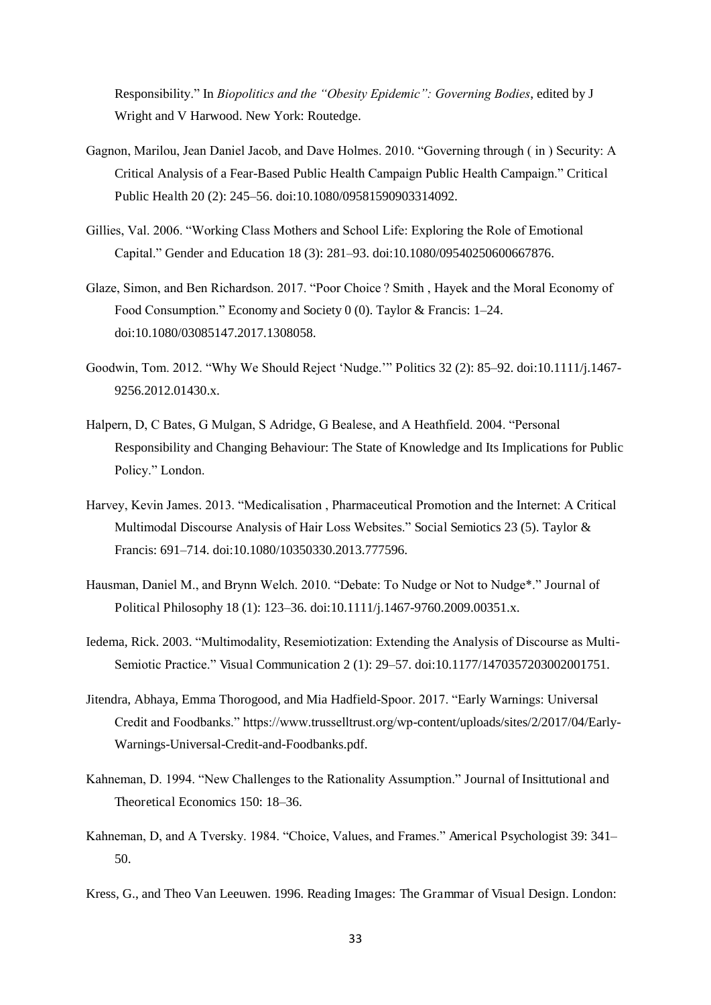Responsibility." In *Biopolitics and the "Obesity Epidemic": Governing Bodies*, edited by J Wright and V Harwood. New York: Routedge.

- Gagnon, Marilou, Jean Daniel Jacob, and Dave Holmes. 2010. "Governing through ( in ) Security: A Critical Analysis of a Fear-Based Public Health Campaign Public Health Campaign." Critical Public Health 20 (2): 245–56. doi:10.1080/09581590903314092.
- Gillies, Val. 2006. "Working Class Mothers and School Life: Exploring the Role of Emotional Capital." Gender and Education 18 (3): 281–93. doi:10.1080/09540250600667876.
- Glaze, Simon, and Ben Richardson. 2017. "Poor Choice? Smith, Hayek and the Moral Economy of Food Consumption." Economy and Society 0 (0). Taylor & Francis: 1–24. doi:10.1080/03085147.2017.1308058.
- Goodwin, Tom. 2012. "Why We Should Reject 'Nudge.'" Politics 32 (2): 85–92. doi:10.1111/j.1467- 9256.2012.01430.x.
- Halpern, D, C Bates, G Mulgan, S Adridge, G Bealese, and A Heathfield. 2004. "Personal Responsibility and Changing Behaviour: The State of Knowledge and Its Implications for Public Policy." London.
- Harvey, Kevin James. 2013. "Medicalisation , Pharmaceutical Promotion and the Internet: A Critical Multimodal Discourse Analysis of Hair Loss Websites." Social Semiotics 23 (5). Taylor & Francis: 691–714. doi:10.1080/10350330.2013.777596.
- Hausman, Daniel M., and Brynn Welch. 2010. "Debate: To Nudge or Not to Nudge\*." Journal of Political Philosophy 18 (1): 123–36. doi:10.1111/j.1467-9760.2009.00351.x.
- Iedema, Rick. 2003. "Multimodality, Resemiotization: Extending the Analysis of Discourse as Multi-Semiotic Practice." Visual Communication 2 (1): 29–57. doi:10.1177/1470357203002001751.
- Jitendra, Abhaya, Emma Thorogood, and Mia Hadfield-Spoor. 2017. "Early Warnings: Universal Credit and Foodbanks." https://www.trusselltrust.org/wp-content/uploads/sites/2/2017/04/Early-Warnings-Universal-Credit-and-Foodbanks.pdf.
- Kahneman, D. 1994. "New Challenges to the Rationality Assumption." Journal of Insittutional and Theoretical Economics 150: 18–36.
- Kahneman, D, and A Tversky. 1984. "Choice, Values, and Frames." Americal Psychologist 39: 341– 50.
- Kress, G., and Theo Van Leeuwen. 1996. Reading Images: The Grammar of Visual Design. London: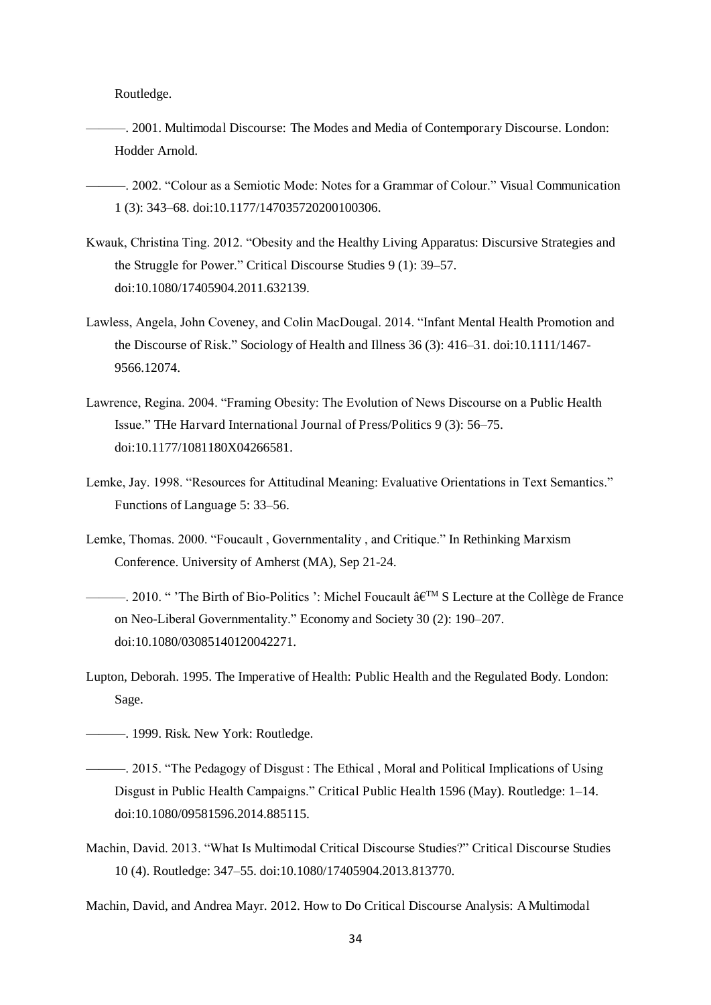Routledge.

- ———. 2001. Multimodal Discourse: The Modes and Media of Contemporary Discourse. London: Hodder Arnold.
- ———. 2002. "Colour as a Semiotic Mode: Notes for a Grammar of Colour." Visual Communication 1 (3): 343–68. doi:10.1177/147035720200100306.
- Kwauk, Christina Ting. 2012. "Obesity and the Healthy Living Apparatus: Discursive Strategies and the Struggle for Power." Critical Discourse Studies 9 (1): 39–57. doi:10.1080/17405904.2011.632139.
- Lawless, Angela, John Coveney, and Colin MacDougal. 2014. "Infant Mental Health Promotion and the Discourse of Risk." Sociology of Health and Illness 36 (3): 416–31. doi:10.1111/1467- 9566.12074.
- Lawrence, Regina. 2004. "Framing Obesity: The Evolution of News Discourse on a Public Health Issue." THe Harvard International Journal of Press/Politics 9 (3): 56–75. doi:10.1177/1081180X04266581.
- Lemke, Jay. 1998. "Resources for Attitudinal Meaning: Evaluative Orientations in Text Semantics." Functions of Language 5: 33–56.
- Lemke, Thomas. 2000. "Foucault , Governmentality , and Critique." In Rethinking Marxism Conference. University of Amherst (MA), Sep 21-24.
	- ——. 2010. " 'The Birth of Bio-Politics ': Michel Foucault  $\hat{\mathbf{a}} \in \mathbb{T}^{M}$  S Lecture at the Collège de France on Neo-Liberal Governmentality." Economy and Society 30 (2): 190–207. doi:10.1080/03085140120042271.
- Lupton, Deborah. 1995. The Imperative of Health: Public Health and the Regulated Body. London: Sage.
- ———. 1999. Risk. New York: Routledge.
- —–. 2015. "The Pedagogy of Disgust: The Ethical, Moral and Political Implications of Using Disgust in Public Health Campaigns." Critical Public Health 1596 (May). Routledge: 1–14. doi:10.1080/09581596.2014.885115.
- Machin, David. 2013. "What Is Multimodal Critical Discourse Studies?" Critical Discourse Studies 10 (4). Routledge: 347–55. doi:10.1080/17405904.2013.813770.
- Machin, David, and Andrea Mayr. 2012. How to Do Critical Discourse Analysis: A Multimodal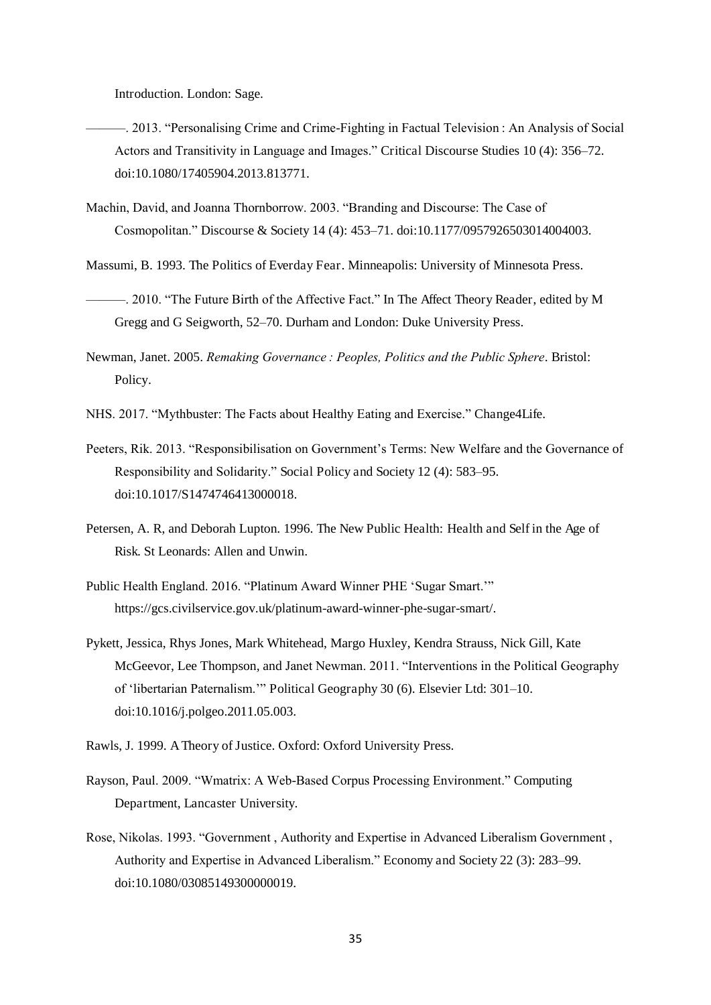Introduction. London: Sage.

- —. 2013. "Personalising Crime and Crime-Fighting in Factual Television: An Analysis of Social Actors and Transitivity in Language and Images." Critical Discourse Studies 10 (4): 356–72. doi:10.1080/17405904.2013.813771.
- Machin, David, and Joanna Thornborrow. 2003. "Branding and Discourse: The Case of Cosmopolitan." Discourse & Society 14 (4): 453–71. doi:10.1177/0957926503014004003.
- Massumi, B. 1993. The Politics of Everday Fear. Minneapolis: University of Minnesota Press.
- ———. 2010. "The Future Birth of the Affective Fact." In The Affect Theory Reader, edited by M Gregg and G Seigworth, 52–70. Durham and London: Duke University Press.
- Newman, Janet. 2005. *Remaking Governance: Peoples, Politics and the Public Sphere*. Bristol: Policy.
- NHS. 2017. "Mythbuster: The Facts about Healthy Eating and Exercise." Change4Life.
- Peeters, Rik. 2013. "Responsibilisation on Government's Terms: New Welfare and the Governance of Responsibility and Solidarity." Social Policy and Society 12 (4): 583–95. doi:10.1017/S1474746413000018.
- Petersen, A. R, and Deborah Lupton. 1996. The New Public Health: Health and Self in the Age of Risk. St Leonards: Allen and Unwin.
- Public Health England. 2016. "Platinum Award Winner PHE 'Sugar Smart.'" https://gcs.civilservice.gov.uk/platinum-award-winner-phe-sugar-smart/.
- Pykett, Jessica, Rhys Jones, Mark Whitehead, Margo Huxley, Kendra Strauss, Nick Gill, Kate McGeevor, Lee Thompson, and Janet Newman. 2011. "Interventions in the Political Geography of 'libertarian Paternalism.'" Political Geography 30 (6). Elsevier Ltd: 301–10. doi:10.1016/j.polgeo.2011.05.003.
- Rawls, J. 1999. A Theory of Justice. Oxford: Oxford University Press.
- Rayson, Paul. 2009. "Wmatrix: A Web-Based Corpus Processing Environment." Computing Department, Lancaster University.
- Rose, Nikolas. 1993. "Government , Authority and Expertise in Advanced Liberalism Government , Authority and Expertise in Advanced Liberalism." Economy and Society 22 (3): 283–99. doi:10.1080/03085149300000019.